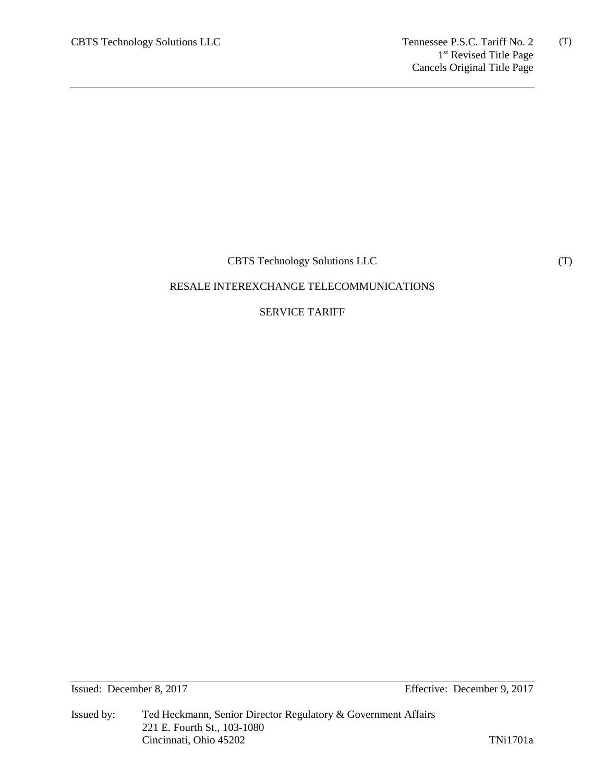CBTS Technology Solutions LLC

# RESALE INTEREXCHANGE TELECOMMUNICATIONS

# SERVICE TARIFF

Issued: December 8, 2017 Effective: December 9, 2017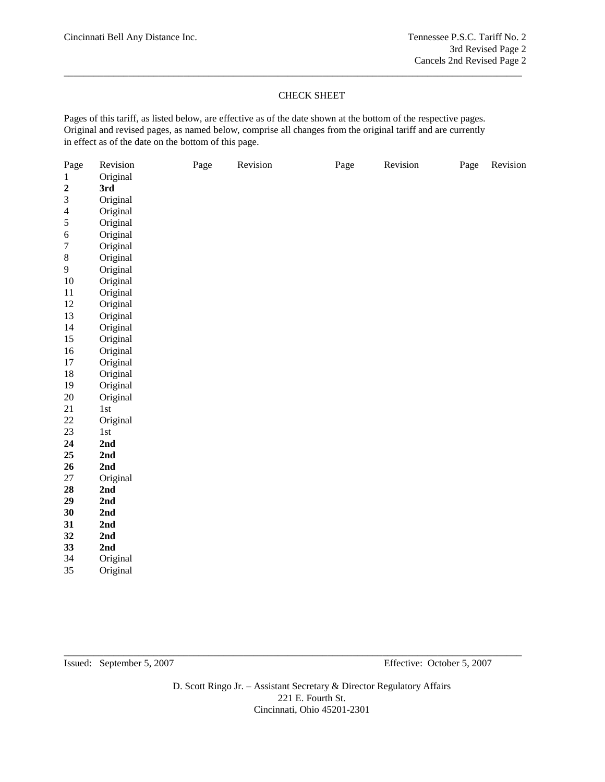# CHECK SHEET

\_\_\_\_\_\_\_\_\_\_\_\_\_\_\_\_\_\_\_\_\_\_\_\_\_\_\_\_\_\_\_\_\_\_\_\_\_\_\_\_\_\_\_\_\_\_\_\_\_\_\_\_\_\_\_\_\_\_\_\_\_\_\_\_\_\_\_\_\_\_\_\_\_\_\_\_\_\_\_\_\_\_\_\_\_\_\_\_\_\_\_\_

Pages of this tariff, as listed below, are effective as of the date shown at the bottom of the respective pages. Original and revised pages, as named below, comprise all changes from the original tariff and are currently in effect as of the date on the bottom of this page.

| Page             | Revision | Page | Revision | Page | Revision | Page | Revision |
|------------------|----------|------|----------|------|----------|------|----------|
| $\mathbf{1}$     | Original |      |          |      |          |      |          |
| $\boldsymbol{2}$ | 3rd      |      |          |      |          |      |          |
| $\mathfrak{Z}$   | Original |      |          |      |          |      |          |
| $\overline{4}$   | Original |      |          |      |          |      |          |
| 5                | Original |      |          |      |          |      |          |
| $\sqrt{6}$       | Original |      |          |      |          |      |          |
| $\boldsymbol{7}$ | Original |      |          |      |          |      |          |
| $\,8$            | Original |      |          |      |          |      |          |
| 9                | Original |      |          |      |          |      |          |
| $10\,$           | Original |      |          |      |          |      |          |
| 11               | Original |      |          |      |          |      |          |
| 12               | Original |      |          |      |          |      |          |
| 13               | Original |      |          |      |          |      |          |
| 14               | Original |      |          |      |          |      |          |
| 15               | Original |      |          |      |          |      |          |
| $16\,$           | Original |      |          |      |          |      |          |
| 17               | Original |      |          |      |          |      |          |
| $18\,$           | Original |      |          |      |          |      |          |
| 19               | Original |      |          |      |          |      |          |
| $20\,$           | Original |      |          |      |          |      |          |
| 21               | 1st      |      |          |      |          |      |          |
| $22\,$           | Original |      |          |      |          |      |          |
| 23               | 1st      |      |          |      |          |      |          |
| 24               | 2nd      |      |          |      |          |      |          |
| 25               | 2nd      |      |          |      |          |      |          |
| 26               | 2nd      |      |          |      |          |      |          |
| $27\,$           | Original |      |          |      |          |      |          |
| 28               | 2nd      |      |          |      |          |      |          |
| 29               | 2nd      |      |          |      |          |      |          |
| 30               | 2nd      |      |          |      |          |      |          |
| 31               | 2nd      |      |          |      |          |      |          |
| 32               | 2nd      |      |          |      |          |      |          |
| 33               | 2nd      |      |          |      |          |      |          |
| 34               | Original |      |          |      |          |      |          |
| 35               | Original |      |          |      |          |      |          |

Issued: September 5, 2007 Effective: October 5, 2007

D. Scott Ringo Jr. – Assistant Secretary & Director Regulatory Affairs 221 E. Fourth St. Cincinnati, Ohio 45201-2301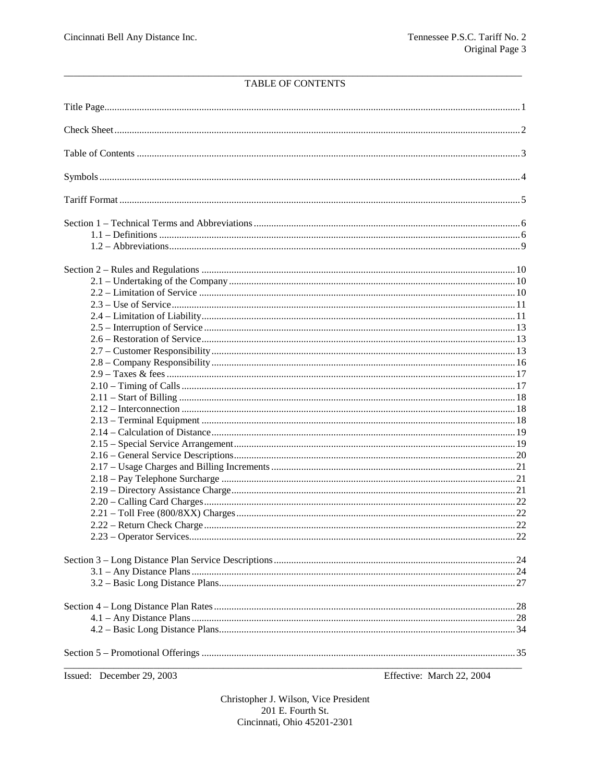# TABLE OF CONTENTS

| Issued: December 29, 2003 | Effective: March 22, 2004 |
|---------------------------|---------------------------|
|                           |                           |
|                           |                           |
|                           |                           |
|                           |                           |
|                           |                           |
|                           |                           |
|                           |                           |
|                           |                           |
|                           |                           |
|                           |                           |
|                           |                           |
|                           |                           |
|                           |                           |
|                           |                           |
|                           |                           |
|                           |                           |
|                           |                           |
|                           |                           |
|                           |                           |
|                           |                           |
|                           |                           |
|                           |                           |
|                           |                           |
|                           |                           |
|                           |                           |
|                           |                           |
|                           |                           |
|                           |                           |
|                           |                           |
|                           |                           |
|                           |                           |
|                           |                           |
|                           |                           |
|                           |                           |
|                           |                           |
|                           |                           |
|                           |                           |
|                           |                           |
|                           |                           |
|                           |                           |
|                           |                           |
|                           |                           |
|                           |                           |
|                           |                           |
|                           |                           |
|                           |                           |
|                           |                           |

Christopher J. Wilson, Vice President 201 E. Fourth St. Cincinnati, Ohio 45201-2301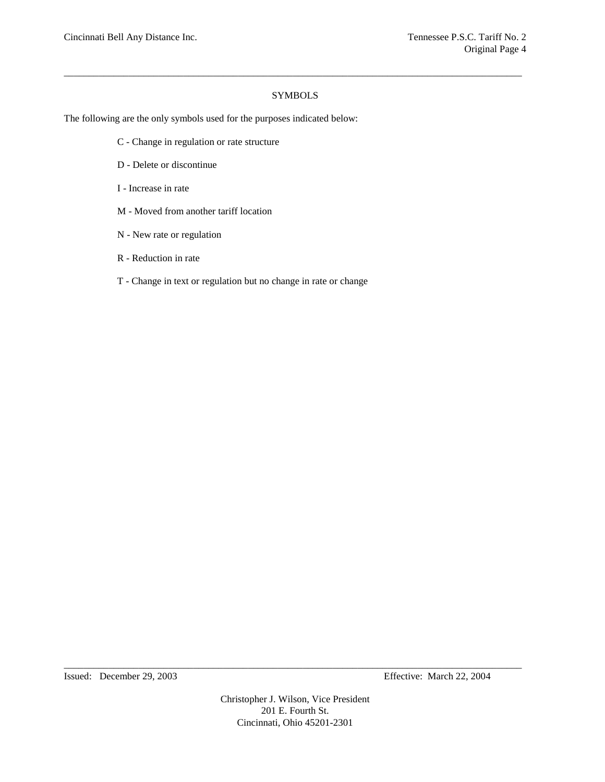# SYMBOLS

\_\_\_\_\_\_\_\_\_\_\_\_\_\_\_\_\_\_\_\_\_\_\_\_\_\_\_\_\_\_\_\_\_\_\_\_\_\_\_\_\_\_\_\_\_\_\_\_\_\_\_\_\_\_\_\_\_\_\_\_\_\_\_\_\_\_\_\_\_\_\_\_\_\_\_\_\_\_\_\_\_\_\_\_\_\_\_\_\_\_\_\_

The following are the only symbols used for the purposes indicated below:

- C Change in regulation or rate structure
- D Delete or discontinue
- I Increase in rate
- M Moved from another tariff location
- N New rate or regulation
- R Reduction in rate
- T Change in text or regulation but no change in rate or change

Christopher J. Wilson, Vice President 201 E. Fourth St. Cincinnati, Ohio 45201-2301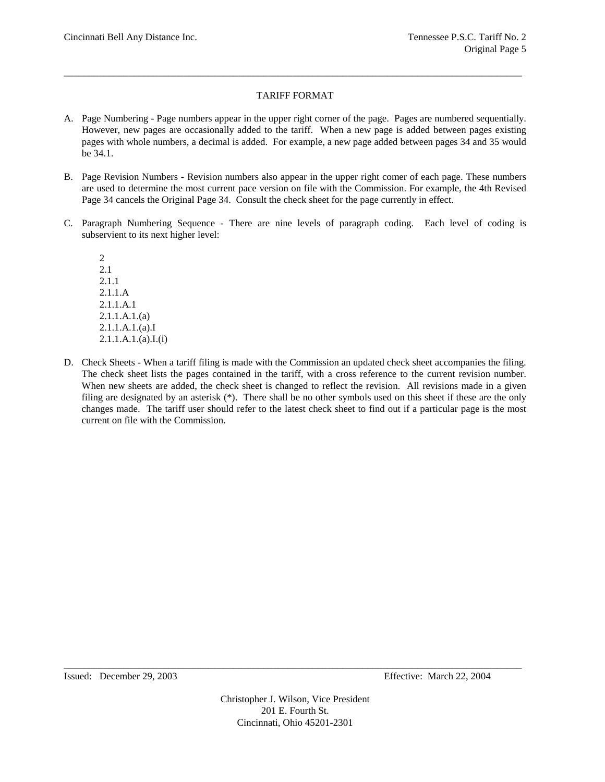# TARIFF FORMAT

\_\_\_\_\_\_\_\_\_\_\_\_\_\_\_\_\_\_\_\_\_\_\_\_\_\_\_\_\_\_\_\_\_\_\_\_\_\_\_\_\_\_\_\_\_\_\_\_\_\_\_\_\_\_\_\_\_\_\_\_\_\_\_\_\_\_\_\_\_\_\_\_\_\_\_\_\_\_\_\_\_\_\_\_\_\_\_\_\_\_\_\_

- A. Page Numbering Page numbers appear in the upper right corner of the page. Pages are numbered sequentially. However, new pages are occasionally added to the tariff. When a new page is added between pages existing pages with whole numbers, a decimal is added. For example, a new page added between pages 34 and 35 would be 34.1.
- B. Page Revision Numbers Revision numbers also appear in the upper right comer of each page. These numbers are used to determine the most current pace version on file with the Commission. For example, the 4th Revised Page 34 cancels the Original Page 34. Consult the check sheet for the page currently in effect.
- C. Paragraph Numbering Sequence There are nine levels of paragraph coding. Each level of coding is subservient to its next higher level:

2 2.1 2.1.1 2.1.1.A 2.1.1.A.1 2.1.1.A.1.(a) 2.1.1.A.1.(a).I 2.1.1.A.1.(a).I.(i)

D. Check Sheets - When a tariff filing is made with the Commission an updated check sheet accompanies the filing. The check sheet lists the pages contained in the tariff, with a cross reference to the current revision number. When new sheets are added, the check sheet is changed to reflect the revision. All revisions made in a given filing are designated by an asterisk (\*). There shall be no other symbols used on this sheet if these are the only changes made. The tariff user should refer to the latest check sheet to find out if a particular page is the most current on file with the Commission.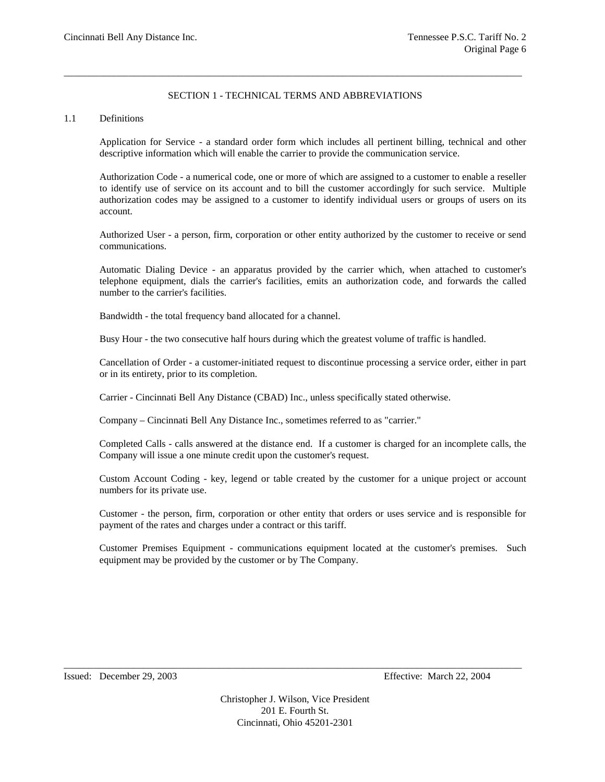# SECTION 1 - TECHNICAL TERMS AND ABBREVIATIONS

\_\_\_\_\_\_\_\_\_\_\_\_\_\_\_\_\_\_\_\_\_\_\_\_\_\_\_\_\_\_\_\_\_\_\_\_\_\_\_\_\_\_\_\_\_\_\_\_\_\_\_\_\_\_\_\_\_\_\_\_\_\_\_\_\_\_\_\_\_\_\_\_\_\_\_\_\_\_\_\_\_\_\_\_\_\_\_\_\_\_\_\_

### 1.1 Definitions

Application for Service - a standard order form which includes all pertinent billing, technical and other descriptive information which will enable the carrier to provide the communication service.

Authorization Code - a numerical code, one or more of which are assigned to a customer to enable a reseller to identify use of service on its account and to bill the customer accordingly for such service. Multiple authorization codes may be assigned to a customer to identify individual users or groups of users on its account.

Authorized User - a person, firm, corporation or other entity authorized by the customer to receive or send communications.

Automatic Dialing Device - an apparatus provided by the carrier which, when attached to customer's telephone equipment, dials the carrier's facilities, emits an authorization code, and forwards the called number to the carrier's facilities.

Bandwidth - the total frequency band allocated for a channel.

Busy Hour - the two consecutive half hours during which the greatest volume of traffic is handled.

Cancellation of Order - a customer-initiated request to discontinue processing a service order, either in part or in its entirety, prior to its completion.

Carrier - Cincinnati Bell Any Distance (CBAD) Inc., unless specifically stated otherwise.

Company – Cincinnati Bell Any Distance Inc., sometimes referred to as "carrier."

Completed Calls - calls answered at the distance end. If a customer is charged for an incomplete calls, the Company will issue a one minute credit upon the customer's request.

Custom Account Coding - key, legend or table created by the customer for a unique project or account numbers for its private use.

Customer - the person, firm, corporation or other entity that orders or uses service and is responsible for payment of the rates and charges under a contract or this tariff.

Customer Premises Equipment - communications equipment located at the customer's premises. Such equipment may be provided by the customer or by The Company.

Issued: December 29, 2003 Effective: March 22, 2004

Christopher J. Wilson, Vice President 201 E. Fourth St. Cincinnati, Ohio 45201-2301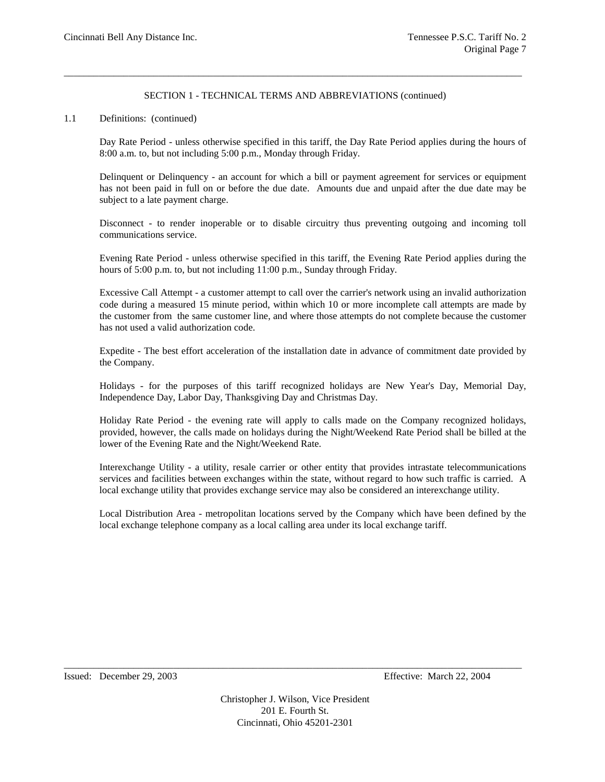# SECTION 1 - TECHNICAL TERMS AND ABBREVIATIONS (continued)

\_\_\_\_\_\_\_\_\_\_\_\_\_\_\_\_\_\_\_\_\_\_\_\_\_\_\_\_\_\_\_\_\_\_\_\_\_\_\_\_\_\_\_\_\_\_\_\_\_\_\_\_\_\_\_\_\_\_\_\_\_\_\_\_\_\_\_\_\_\_\_\_\_\_\_\_\_\_\_\_\_\_\_\_\_\_\_\_\_\_\_\_

#### 1.1 Definitions: (continued)

Day Rate Period - unless otherwise specified in this tariff, the Day Rate Period applies during the hours of 8:00 a.m. to, but not including 5:00 p.m., Monday through Friday.

Delinquent or Delinquency - an account for which a bill or payment agreement for services or equipment has not been paid in full on or before the due date. Amounts due and unpaid after the due date may be subject to a late payment charge.

Disconnect - to render inoperable or to disable circuitry thus preventing outgoing and incoming toll communications service.

Evening Rate Period - unless otherwise specified in this tariff, the Evening Rate Period applies during the hours of 5:00 p.m. to, but not including 11:00 p.m., Sunday through Friday.

Excessive Call Attempt - a customer attempt to call over the carrier's network using an invalid authorization code during a measured 15 minute period, within which 10 or more incomplete call attempts are made by the customer from the same customer line, and where those attempts do not complete because the customer has not used a valid authorization code.

Expedite - The best effort acceleration of the installation date in advance of commitment date provided by the Company.

Holidays - for the purposes of this tariff recognized holidays are New Year's Day, Memorial Day, Independence Day, Labor Day, Thanksgiving Day and Christmas Day.

Holiday Rate Period - the evening rate will apply to calls made on the Company recognized holidays, provided, however, the calls made on holidays during the Night/Weekend Rate Period shall be billed at the lower of the Evening Rate and the Night/Weekend Rate.

Interexchange Utility - a utility, resale carrier or other entity that provides intrastate telecommunications services and facilities between exchanges within the state, without regard to how such traffic is carried. A local exchange utility that provides exchange service may also be considered an interexchange utility.

Local Distribution Area - metropolitan locations served by the Company which have been defined by the local exchange telephone company as a local calling area under its local exchange tariff.

Issued: December 29, 2003 Effective: March 22, 2004

Christopher J. Wilson, Vice President 201 E. Fourth St. Cincinnati, Ohio 45201-2301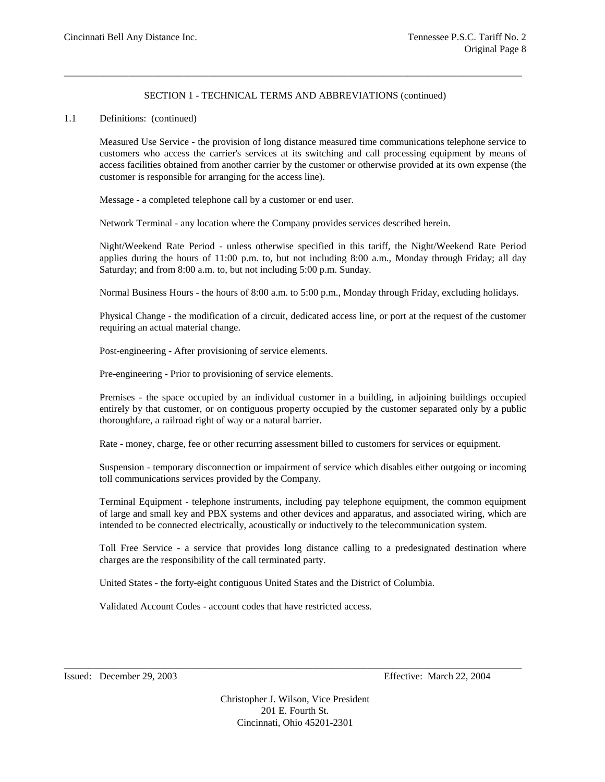# SECTION 1 - TECHNICAL TERMS AND ABBREVIATIONS (continued)

\_\_\_\_\_\_\_\_\_\_\_\_\_\_\_\_\_\_\_\_\_\_\_\_\_\_\_\_\_\_\_\_\_\_\_\_\_\_\_\_\_\_\_\_\_\_\_\_\_\_\_\_\_\_\_\_\_\_\_\_\_\_\_\_\_\_\_\_\_\_\_\_\_\_\_\_\_\_\_\_\_\_\_\_\_\_\_\_\_\_\_\_

### 1.1 Definitions: (continued)

Measured Use Service - the provision of long distance measured time communications telephone service to customers who access the carrier's services at its switching and call processing equipment by means of access facilities obtained from another carrier by the customer or otherwise provided at its own expense (the customer is responsible for arranging for the access line).

Message - a completed telephone call by a customer or end user.

Network Terminal - any location where the Company provides services described herein.

Night/Weekend Rate Period - unless otherwise specified in this tariff, the Night/Weekend Rate Period applies during the hours of 11:00 p.m. to, but not including 8:00 a.m., Monday through Friday; all day Saturday; and from 8:00 a.m. to, but not including 5:00 p.m. Sunday.

Normal Business Hours - the hours of 8:00 a.m. to 5:00 p.m., Monday through Friday, excluding holidays.

Physical Change - the modification of a circuit, dedicated access line, or port at the request of the customer requiring an actual material change.

Post-engineering - After provisioning of service elements.

Pre-engineering - Prior to provisioning of service elements.

Premises - the space occupied by an individual customer in a building, in adjoining buildings occupied entirely by that customer, or on contiguous property occupied by the customer separated only by a public thoroughfare, a railroad right of way or a natural barrier.

Rate - money, charge, fee or other recurring assessment billed to customers for services or equipment.

Suspension - temporary disconnection or impairment of service which disables either outgoing or incoming toll communications services provided by the Company.

Terminal Equipment - telephone instruments, including pay telephone equipment, the common equipment of large and small key and PBX systems and other devices and apparatus, and associated wiring, which are intended to be connected electrically, acoustically or inductively to the telecommunication system.

Toll Free Service - a service that provides long distance calling to a predesignated destination where charges are the responsibility of the call terminated party.

United States - the forty-eight contiguous United States and the District of Columbia.

Validated Account Codes - account codes that have restricted access.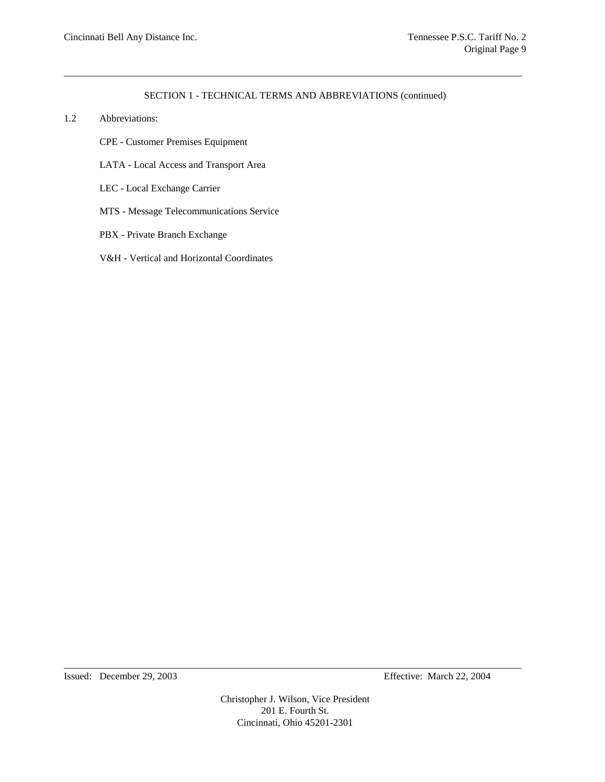# SECTION 1 - TECHNICAL TERMS AND ABBREVIATIONS (continued)

\_\_\_\_\_\_\_\_\_\_\_\_\_\_\_\_\_\_\_\_\_\_\_\_\_\_\_\_\_\_\_\_\_\_\_\_\_\_\_\_\_\_\_\_\_\_\_\_\_\_\_\_\_\_\_\_\_\_\_\_\_\_\_\_\_\_\_\_\_\_\_\_\_\_\_\_\_\_\_\_\_\_\_\_\_\_\_\_\_\_\_\_

- 1.2 Abbreviations:
	- CPE Customer Premises Equipment
	- LATA Local Access and Transport Area
	- LEC Local Exchange Carrier
	- MTS Message Telecommunications Service
	- PBX Private Branch Exchange
	- V&H Vertical and Horizontal Coordinates

Christopher J. Wilson, Vice President 201 E. Fourth St. Cincinnati, Ohio 45201-2301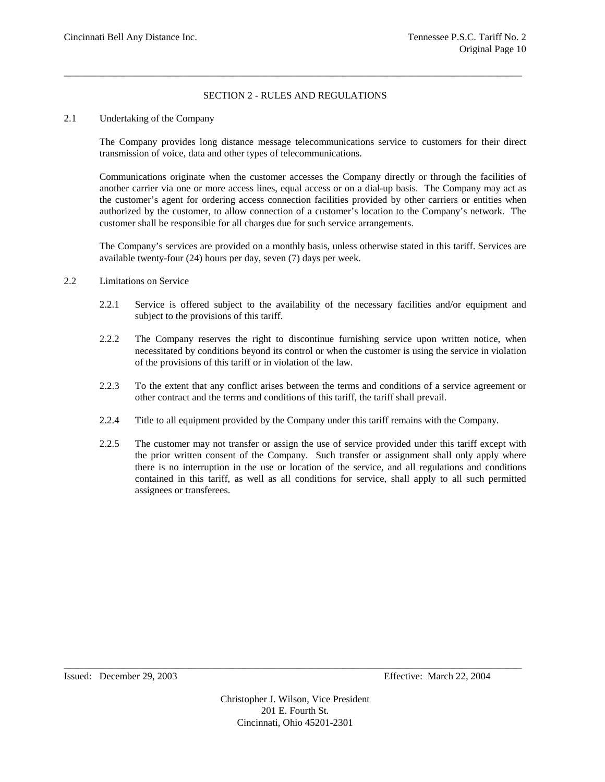# SECTION 2 - RULES AND REGULATIONS

\_\_\_\_\_\_\_\_\_\_\_\_\_\_\_\_\_\_\_\_\_\_\_\_\_\_\_\_\_\_\_\_\_\_\_\_\_\_\_\_\_\_\_\_\_\_\_\_\_\_\_\_\_\_\_\_\_\_\_\_\_\_\_\_\_\_\_\_\_\_\_\_\_\_\_\_\_\_\_\_\_\_\_\_\_\_\_\_\_\_\_\_

# 2.1 Undertaking of the Company

The Company provides long distance message telecommunications service to customers for their direct transmission of voice, data and other types of telecommunications.

Communications originate when the customer accesses the Company directly or through the facilities of another carrier via one or more access lines, equal access or on a dial-up basis. The Company may act as the customer's agent for ordering access connection facilities provided by other carriers or entities when authorized by the customer, to allow connection of a customer's location to the Company's network. The customer shall be responsible for all charges due for such service arrangements.

The Company's services are provided on a monthly basis, unless otherwise stated in this tariff. Services are available twenty-four (24) hours per day, seven (7) days per week.

### 2.2 Limitations on Service

- 2.2.1 Service is offered subject to the availability of the necessary facilities and/or equipment and subject to the provisions of this tariff.
- 2.2.2 The Company reserves the right to discontinue furnishing service upon written notice, when necessitated by conditions beyond its control or when the customer is using the service in violation of the provisions of this tariff or in violation of the law.
- 2.2.3 To the extent that any conflict arises between the terms and conditions of a service agreement or other contract and the terms and conditions of this tariff, the tariff shall prevail.
- 2.2.4 Title to all equipment provided by the Company under this tariff remains with the Company.
- 2.2.5 The customer may not transfer or assign the use of service provided under this tariff except with the prior written consent of the Company. Such transfer or assignment shall only apply where there is no interruption in the use or location of the service, and all regulations and conditions contained in this tariff, as well as all conditions for service, shall apply to all such permitted assignees or transferees.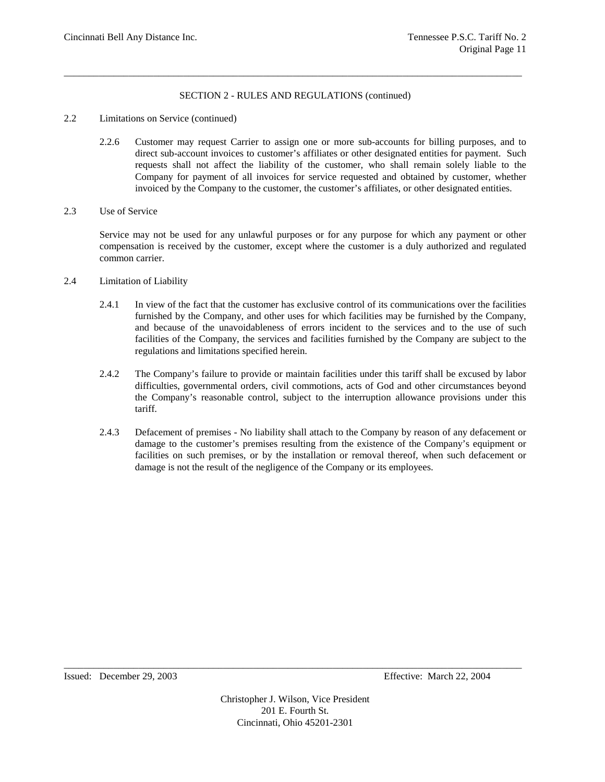\_\_\_\_\_\_\_\_\_\_\_\_\_\_\_\_\_\_\_\_\_\_\_\_\_\_\_\_\_\_\_\_\_\_\_\_\_\_\_\_\_\_\_\_\_\_\_\_\_\_\_\_\_\_\_\_\_\_\_\_\_\_\_\_\_\_\_\_\_\_\_\_\_\_\_\_\_\_\_\_\_\_\_\_\_\_\_\_\_\_\_\_

- 2.2 Limitations on Service (continued)
	- 2.2.6 Customer may request Carrier to assign one or more sub-accounts for billing purposes, and to direct sub-account invoices to customer's affiliates or other designated entities for payment. Such requests shall not affect the liability of the customer, who shall remain solely liable to the Company for payment of all invoices for service requested and obtained by customer, whether invoiced by the Company to the customer, the customer's affiliates, or other designated entities.
- 2.3 Use of Service

Service may not be used for any unlawful purposes or for any purpose for which any payment or other compensation is received by the customer, except where the customer is a duly authorized and regulated common carrier.

- 2.4 Limitation of Liability
	- 2.4.1 In view of the fact that the customer has exclusive control of its communications over the facilities furnished by the Company, and other uses for which facilities may be furnished by the Company, and because of the unavoidableness of errors incident to the services and to the use of such facilities of the Company, the services and facilities furnished by the Company are subject to the regulations and limitations specified herein.
	- 2.4.2 The Company's failure to provide or maintain facilities under this tariff shall be excused by labor difficulties, governmental orders, civil commotions, acts of God and other circumstances beyond the Company's reasonable control, subject to the interruption allowance provisions under this tariff.
	- 2.4.3 Defacement of premises No liability shall attach to the Company by reason of any defacement or damage to the customer's premises resulting from the existence of the Company's equipment or facilities on such premises, or by the installation or removal thereof, when such defacement or damage is not the result of the negligence of the Company or its employees.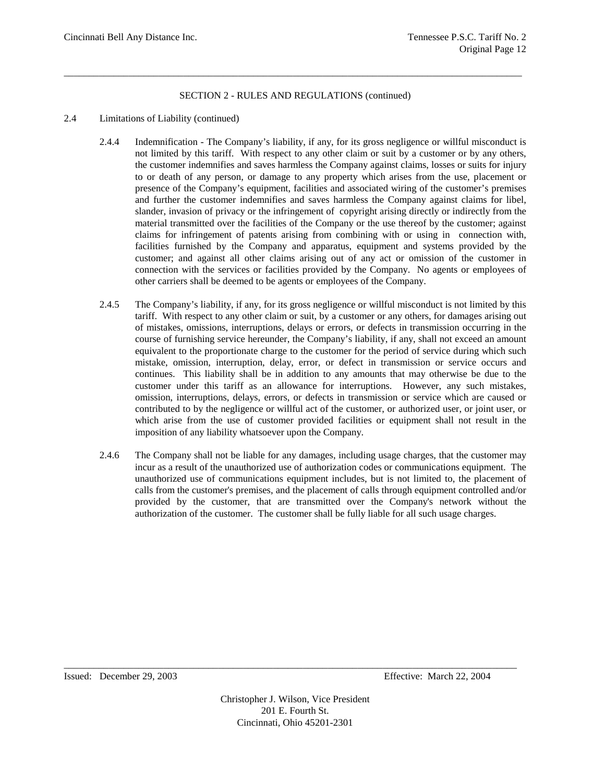\_\_\_\_\_\_\_\_\_\_\_\_\_\_\_\_\_\_\_\_\_\_\_\_\_\_\_\_\_\_\_\_\_\_\_\_\_\_\_\_\_\_\_\_\_\_\_\_\_\_\_\_\_\_\_\_\_\_\_\_\_\_\_\_\_\_\_\_\_\_\_\_\_\_\_\_\_\_\_\_\_\_\_\_\_\_\_\_\_\_\_\_

- 2.4 Limitations of Liability (continued)
	- 2.4.4 Indemnification The Company's liability, if any, for its gross negligence or willful misconduct is not limited by this tariff. With respect to any other claim or suit by a customer or by any others, the customer indemnifies and saves harmless the Company against claims, losses or suits for injury to or death of any person, or damage to any property which arises from the use, placement or presence of the Company's equipment, facilities and associated wiring of the customer's premises and further the customer indemnifies and saves harmless the Company against claims for libel, slander, invasion of privacy or the infringement of copyright arising directly or indirectly from the material transmitted over the facilities of the Company or the use thereof by the customer; against claims for infringement of patents arising from combining with or using in connection with, facilities furnished by the Company and apparatus, equipment and systems provided by the customer; and against all other claims arising out of any act or omission of the customer in connection with the services or facilities provided by the Company. No agents or employees of other carriers shall be deemed to be agents or employees of the Company.
	- 2.4.5 The Company's liability, if any, for its gross negligence or willful misconduct is not limited by this tariff. With respect to any other claim or suit, by a customer or any others, for damages arising out of mistakes, omissions, interruptions, delays or errors, or defects in transmission occurring in the course of furnishing service hereunder, the Company's liability, if any, shall not exceed an amount equivalent to the proportionate charge to the customer for the period of service during which such mistake, omission, interruption, delay, error, or defect in transmission or service occurs and continues. This liability shall be in addition to any amounts that may otherwise be due to the customer under this tariff as an allowance for interruptions. However, any such mistakes, omission, interruptions, delays, errors, or defects in transmission or service which are caused or contributed to by the negligence or willful act of the customer, or authorized user, or joint user, or which arise from the use of customer provided facilities or equipment shall not result in the imposition of any liability whatsoever upon the Company.
	- 2.4.6 The Company shall not be liable for any damages, including usage charges, that the customer may incur as a result of the unauthorized use of authorization codes or communications equipment. The unauthorized use of communications equipment includes, but is not limited to, the placement of calls from the customer's premises, and the placement of calls through equipment controlled and/or provided by the customer, that are transmitted over the Company's network without the authorization of the customer. The customer shall be fully liable for all such usage charges.

Issued: December 29, 2003 Effective: March 22, 2004

Christopher J. Wilson, Vice President 201 E. Fourth St. Cincinnati, Ohio 45201-2301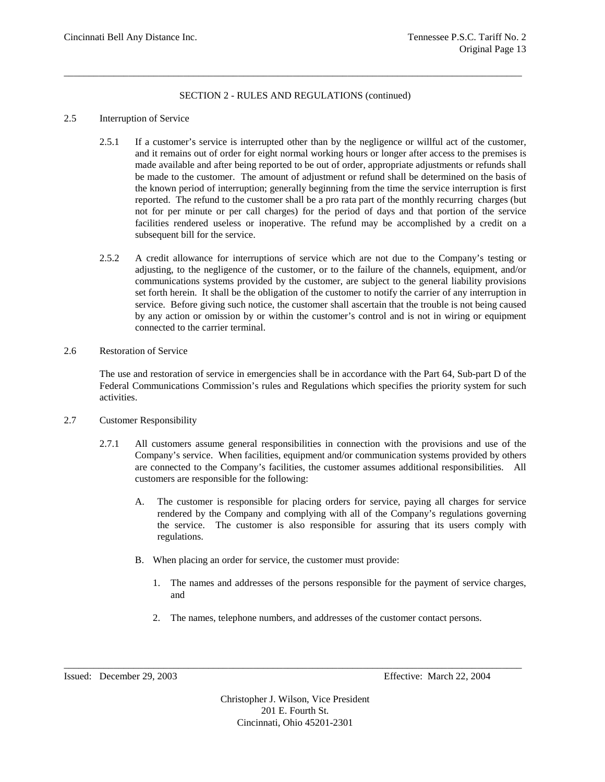\_\_\_\_\_\_\_\_\_\_\_\_\_\_\_\_\_\_\_\_\_\_\_\_\_\_\_\_\_\_\_\_\_\_\_\_\_\_\_\_\_\_\_\_\_\_\_\_\_\_\_\_\_\_\_\_\_\_\_\_\_\_\_\_\_\_\_\_\_\_\_\_\_\_\_\_\_\_\_\_\_\_\_\_\_\_\_\_\_\_\_\_

### 2.5 Interruption of Service

- 2.5.1 If a customer's service is interrupted other than by the negligence or willful act of the customer, and it remains out of order for eight normal working hours or longer after access to the premises is made available and after being reported to be out of order, appropriate adjustments or refunds shall be made to the customer. The amount of adjustment or refund shall be determined on the basis of the known period of interruption; generally beginning from the time the service interruption is first reported. The refund to the customer shall be a pro rata part of the monthly recurring charges (but not for per minute or per call charges) for the period of days and that portion of the service facilities rendered useless or inoperative. The refund may be accomplished by a credit on a subsequent bill for the service.
- 2.5.2 A credit allowance for interruptions of service which are not due to the Company's testing or adjusting, to the negligence of the customer, or to the failure of the channels, equipment, and/or communications systems provided by the customer, are subject to the general liability provisions set forth herein. It shall be the obligation of the customer to notify the carrier of any interruption in service. Before giving such notice, the customer shall ascertain that the trouble is not being caused by any action or omission by or within the customer's control and is not in wiring or equipment connected to the carrier terminal.
- 2.6 Restoration of Service

The use and restoration of service in emergencies shall be in accordance with the Part 64, Sub-part D of the Federal Communications Commission's rules and Regulations which specifies the priority system for such activities.

- 2.7 Customer Responsibility
	- 2.7.1 All customers assume general responsibilities in connection with the provisions and use of the Company's service. When facilities, equipment and/or communication systems provided by others are connected to the Company's facilities, the customer assumes additional responsibilities. All customers are responsible for the following:
		- A. The customer is responsible for placing orders for service, paying all charges for service rendered by the Company and complying with all of the Company's regulations governing the service. The customer is also responsible for assuring that its users comply with regulations.
		- B. When placing an order for service, the customer must provide:
			- 1. The names and addresses of the persons responsible for the payment of service charges, and
			- 2. The names, telephone numbers, and addresses of the customer contact persons.

Christopher J. Wilson, Vice President 201 E. Fourth St. Cincinnati, Ohio 45201-2301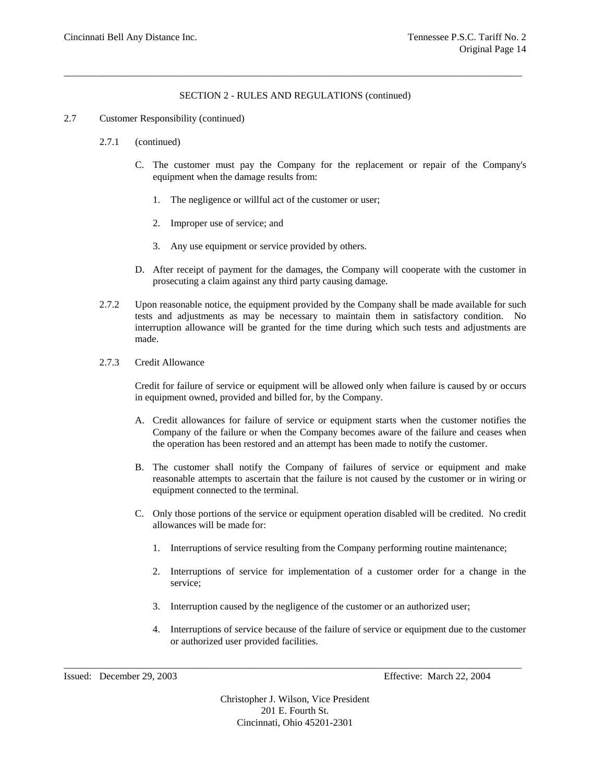\_\_\_\_\_\_\_\_\_\_\_\_\_\_\_\_\_\_\_\_\_\_\_\_\_\_\_\_\_\_\_\_\_\_\_\_\_\_\_\_\_\_\_\_\_\_\_\_\_\_\_\_\_\_\_\_\_\_\_\_\_\_\_\_\_\_\_\_\_\_\_\_\_\_\_\_\_\_\_\_\_\_\_\_\_\_\_\_\_\_\_\_

#### 2.7 Customer Responsibility (continued)

- 2.7.1 (continued)
	- C. The customer must pay the Company for the replacement or repair of the Company's equipment when the damage results from:
		- 1. The negligence or willful act of the customer or user;
		- 2. Improper use of service; and
		- 3. Any use equipment or service provided by others.
	- D. After receipt of payment for the damages, the Company will cooperate with the customer in prosecuting a claim against any third party causing damage.
- 2.7.2 Upon reasonable notice, the equipment provided by the Company shall be made available for such tests and adjustments as may be necessary to maintain them in satisfactory condition. No interruption allowance will be granted for the time during which such tests and adjustments are made.
- 2.7.3 Credit Allowance

Credit for failure of service or equipment will be allowed only when failure is caused by or occurs in equipment owned, provided and billed for, by the Company.

- A. Credit allowances for failure of service or equipment starts when the customer notifies the Company of the failure or when the Company becomes aware of the failure and ceases when the operation has been restored and an attempt has been made to notify the customer.
- B. The customer shall notify the Company of failures of service or equipment and make reasonable attempts to ascertain that the failure is not caused by the customer or in wiring or equipment connected to the terminal.
- C. Only those portions of the service or equipment operation disabled will be credited. No credit allowances will be made for:
	- 1. Interruptions of service resulting from the Company performing routine maintenance;
	- 2. Interruptions of service for implementation of a customer order for a change in the service;
	- 3. Interruption caused by the negligence of the customer or an authorized user;
	- 4. Interruptions of service because of the failure of service or equipment due to the customer or authorized user provided facilities.

Issued: December 29, 2003 Effective: March 22, 2004

Christopher J. Wilson, Vice President 201 E. Fourth St. Cincinnati, Ohio 45201-2301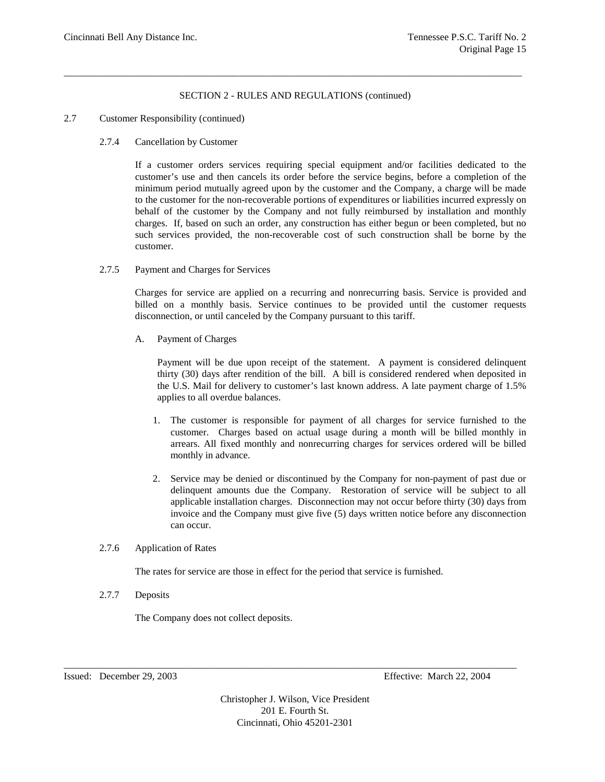\_\_\_\_\_\_\_\_\_\_\_\_\_\_\_\_\_\_\_\_\_\_\_\_\_\_\_\_\_\_\_\_\_\_\_\_\_\_\_\_\_\_\_\_\_\_\_\_\_\_\_\_\_\_\_\_\_\_\_\_\_\_\_\_\_\_\_\_\_\_\_\_\_\_\_\_\_\_\_\_\_\_\_\_\_\_\_\_\_\_\_\_

# 2.7 Customer Responsibility (continued)

2.7.4 Cancellation by Customer

If a customer orders services requiring special equipment and/or facilities dedicated to the customer's use and then cancels its order before the service begins, before a completion of the minimum period mutually agreed upon by the customer and the Company, a charge will be made to the customer for the non-recoverable portions of expenditures or liabilities incurred expressly on behalf of the customer by the Company and not fully reimbursed by installation and monthly charges. If, based on such an order, any construction has either begun or been completed, but no such services provided, the non-recoverable cost of such construction shall be borne by the customer.

2.7.5 Payment and Charges for Services

Charges for service are applied on a recurring and nonrecurring basis. Service is provided and billed on a monthly basis. Service continues to be provided until the customer requests disconnection, or until canceled by the Company pursuant to this tariff.

A. Payment of Charges

Payment will be due upon receipt of the statement. A payment is considered delinquent thirty (30) days after rendition of the bill. A bill is considered rendered when deposited in the U.S. Mail for delivery to customer's last known address. A late payment charge of 1.5% applies to all overdue balances.

- 1. The customer is responsible for payment of all charges for service furnished to the customer. Charges based on actual usage during a month will be billed monthly in arrears. All fixed monthly and nonrecurring charges for services ordered will be billed monthly in advance.
- 2. Service may be denied or discontinued by the Company for non-payment of past due or delinquent amounts due the Company. Restoration of service will be subject to all applicable installation charges. Disconnection may not occur before thirty (30) days from invoice and the Company must give five (5) days written notice before any disconnection can occur.

# 2.7.6 Application of Rates

The rates for service are those in effect for the period that service is furnished.

2.7.7 Deposits

The Company does not collect deposits.

Christopher J. Wilson, Vice President 201 E. Fourth St. Cincinnati, Ohio 45201-2301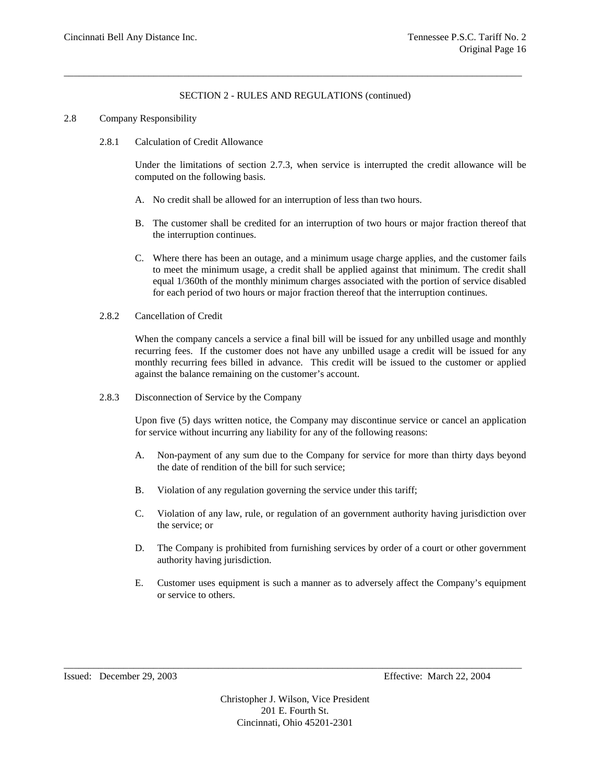\_\_\_\_\_\_\_\_\_\_\_\_\_\_\_\_\_\_\_\_\_\_\_\_\_\_\_\_\_\_\_\_\_\_\_\_\_\_\_\_\_\_\_\_\_\_\_\_\_\_\_\_\_\_\_\_\_\_\_\_\_\_\_\_\_\_\_\_\_\_\_\_\_\_\_\_\_\_\_\_\_\_\_\_\_\_\_\_\_\_\_\_

# 2.8 Company Responsibility

2.8.1 Calculation of Credit Allowance

Under the limitations of section 2.7.3, when service is interrupted the credit allowance will be computed on the following basis.

- A. No credit shall be allowed for an interruption of less than two hours.
- B. The customer shall be credited for an interruption of two hours or major fraction thereof that the interruption continues.
- C. Where there has been an outage, and a minimum usage charge applies, and the customer fails to meet the minimum usage, a credit shall be applied against that minimum. The credit shall equal 1/360th of the monthly minimum charges associated with the portion of service disabled for each period of two hours or major fraction thereof that the interruption continues.
- 2.8.2 Cancellation of Credit

When the company cancels a service a final bill will be issued for any unbilled usage and monthly recurring fees. If the customer does not have any unbilled usage a credit will be issued for any monthly recurring fees billed in advance. This credit will be issued to the customer or applied against the balance remaining on the customer's account.

2.8.3 Disconnection of Service by the Company

Upon five (5) days written notice, the Company may discontinue service or cancel an application for service without incurring any liability for any of the following reasons:

- A. Non-payment of any sum due to the Company for service for more than thirty days beyond the date of rendition of the bill for such service;
- B. Violation of any regulation governing the service under this tariff;
- C. Violation of any law, rule, or regulation of an government authority having jurisdiction over the service; or
- D. The Company is prohibited from furnishing services by order of a court or other government authority having jurisdiction.
- E. Customer uses equipment is such a manner as to adversely affect the Company's equipment or service to others.

Issued: December 29, 2003 Effective: March 22, 2004

Christopher J. Wilson, Vice President 201 E. Fourth St. Cincinnati, Ohio 45201-2301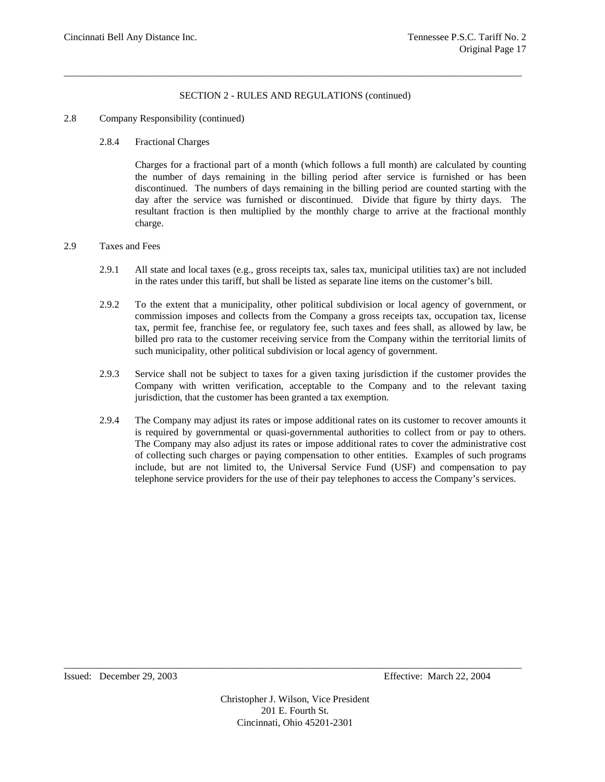\_\_\_\_\_\_\_\_\_\_\_\_\_\_\_\_\_\_\_\_\_\_\_\_\_\_\_\_\_\_\_\_\_\_\_\_\_\_\_\_\_\_\_\_\_\_\_\_\_\_\_\_\_\_\_\_\_\_\_\_\_\_\_\_\_\_\_\_\_\_\_\_\_\_\_\_\_\_\_\_\_\_\_\_\_\_\_\_\_\_\_\_

# 2.8 Company Responsibility (continued)

### 2.8.4 Fractional Charges

Charges for a fractional part of a month (which follows a full month) are calculated by counting the number of days remaining in the billing period after service is furnished or has been discontinued. The numbers of days remaining in the billing period are counted starting with the day after the service was furnished or discontinued. Divide that figure by thirty days. The resultant fraction is then multiplied by the monthly charge to arrive at the fractional monthly charge.

#### 2.9 Taxes and Fees

- 2.9.1 All state and local taxes (e.g., gross receipts tax, sales tax, municipal utilities tax) are not included in the rates under this tariff, but shall be listed as separate line items on the customer's bill.
- 2.9.2 To the extent that a municipality, other political subdivision or local agency of government, or commission imposes and collects from the Company a gross receipts tax, occupation tax, license tax, permit fee, franchise fee, or regulatory fee, such taxes and fees shall, as allowed by law, be billed pro rata to the customer receiving service from the Company within the territorial limits of such municipality, other political subdivision or local agency of government.
- 2.9.3 Service shall not be subject to taxes for a given taxing jurisdiction if the customer provides the Company with written verification, acceptable to the Company and to the relevant taxing jurisdiction, that the customer has been granted a tax exemption.
- 2.9.4 The Company may adjust its rates or impose additional rates on its customer to recover amounts it is required by governmental or quasi-governmental authorities to collect from or pay to others. The Company may also adjust its rates or impose additional rates to cover the administrative cost of collecting such charges or paying compensation to other entities. Examples of such programs include, but are not limited to, the Universal Service Fund (USF) and compensation to pay telephone service providers for the use of their pay telephones to access the Company's services.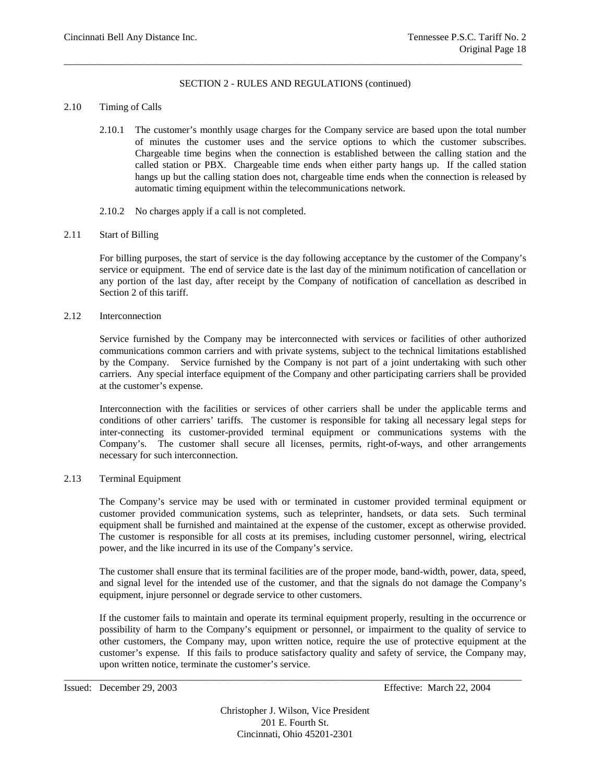\_\_\_\_\_\_\_\_\_\_\_\_\_\_\_\_\_\_\_\_\_\_\_\_\_\_\_\_\_\_\_\_\_\_\_\_\_\_\_\_\_\_\_\_\_\_\_\_\_\_\_\_\_\_\_\_\_\_\_\_\_\_\_\_\_\_\_\_\_\_\_\_\_\_\_\_\_\_\_\_\_\_\_\_\_\_\_\_\_\_\_\_

#### 2.10 Timing of Calls

- 2.10.1 The customer's monthly usage charges for the Company service are based upon the total number of minutes the customer uses and the service options to which the customer subscribes. Chargeable time begins when the connection is established between the calling station and the called station or PBX. Chargeable time ends when either party hangs up. If the called station hangs up but the calling station does not, chargeable time ends when the connection is released by automatic timing equipment within the telecommunications network.
- 2.10.2 No charges apply if a call is not completed.

#### 2.11 Start of Billing

For billing purposes, the start of service is the day following acceptance by the customer of the Company's service or equipment. The end of service date is the last day of the minimum notification of cancellation or any portion of the last day, after receipt by the Company of notification of cancellation as described in Section 2 of this tariff.

2.12 Interconnection

Service furnished by the Company may be interconnected with services or facilities of other authorized communications common carriers and with private systems, subject to the technical limitations established by the Company. Service furnished by the Company is not part of a joint undertaking with such other carriers. Any special interface equipment of the Company and other participating carriers shall be provided at the customer's expense.

Interconnection with the facilities or services of other carriers shall be under the applicable terms and conditions of other carriers' tariffs. The customer is responsible for taking all necessary legal steps for inter-connecting its customer-provided terminal equipment or communications systems with the Company's. The customer shall secure all licenses, permits, right-of-ways, and other arrangements necessary for such interconnection.

2.13 Terminal Equipment

The Company's service may be used with or terminated in customer provided terminal equipment or customer provided communication systems, such as teleprinter, handsets, or data sets. Such terminal equipment shall be furnished and maintained at the expense of the customer, except as otherwise provided. The customer is responsible for all costs at its premises, including customer personnel, wiring, electrical power, and the like incurred in its use of the Company's service.

The customer shall ensure that its terminal facilities are of the proper mode, band-width, power, data, speed, and signal level for the intended use of the customer, and that the signals do not damage the Company's equipment, injure personnel or degrade service to other customers.

If the customer fails to maintain and operate its terminal equipment properly, resulting in the occurrence or possibility of harm to the Company's equipment or personnel, or impairment to the quality of service to other customers, the Company may, upon written notice, require the use of protective equipment at the customer's expense. If this fails to produce satisfactory quality and safety of service, the Company may, upon written notice, terminate the customer's service.

Christopher J. Wilson, Vice President 201 E. Fourth St. Cincinnati, Ohio 45201-2301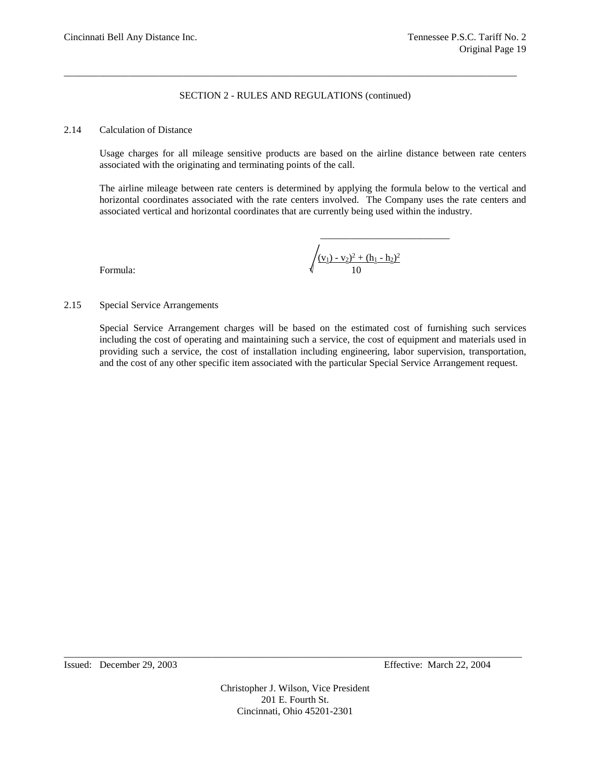\_\_\_\_\_\_\_\_\_\_\_\_\_\_\_\_\_\_\_\_\_\_\_\_\_\_\_\_\_\_\_\_\_\_\_\_\_\_\_\_\_\_\_\_\_\_\_\_\_\_\_\_\_\_\_\_\_\_\_\_\_\_\_\_\_\_\_\_\_\_\_\_\_\_\_\_\_\_\_\_\_\_\_\_\_\_\_\_\_\_\_

### 2.14 Calculation of Distance

Usage charges for all mileage sensitive products are based on the airline distance between rate centers associated with the originating and terminating points of the call.

The airline mileage between rate centers is determined by applying the formula below to the vertical and horizontal coordinates associated with the rate centers involved. The Company uses the rate centers and associated vertical and horizontal coordinates that are currently being used within the industry.

Formula: √ 10

$$
\sqrt{\frac{(v_1) - v_2)^2 + (h_1 - h_2)^2}{10}}
$$

\_\_\_\_\_\_\_\_\_\_\_\_\_\_\_\_\_\_\_\_\_\_\_\_\_\_

2.15 Special Service Arrangements

Special Service Arrangement charges will be based on the estimated cost of furnishing such services including the cost of operating and maintaining such a service, the cost of equipment and materials used in providing such a service, the cost of installation including engineering, labor supervision, transportation, and the cost of any other specific item associated with the particular Special Service Arrangement request.

Christopher J. Wilson, Vice President 201 E. Fourth St. Cincinnati, Ohio 45201-2301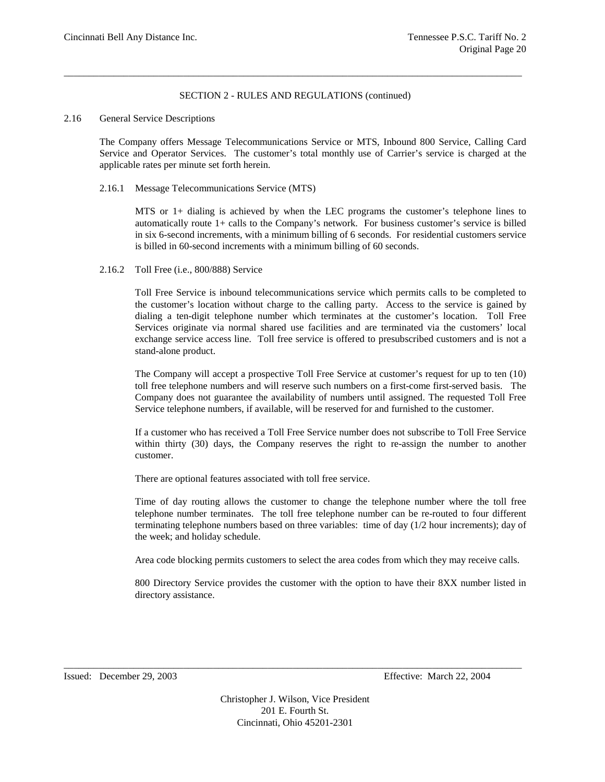\_\_\_\_\_\_\_\_\_\_\_\_\_\_\_\_\_\_\_\_\_\_\_\_\_\_\_\_\_\_\_\_\_\_\_\_\_\_\_\_\_\_\_\_\_\_\_\_\_\_\_\_\_\_\_\_\_\_\_\_\_\_\_\_\_\_\_\_\_\_\_\_\_\_\_\_\_\_\_\_\_\_\_\_\_\_\_\_\_\_\_\_

### 2.16 General Service Descriptions

The Company offers Message Telecommunications Service or MTS, Inbound 800 Service, Calling Card Service and Operator Services. The customer's total monthly use of Carrier's service is charged at the applicable rates per minute set forth herein.

2.16.1 Message Telecommunications Service (MTS)

MTS or 1+ dialing is achieved by when the LEC programs the customer's telephone lines to automatically route 1+ calls to the Company's network. For business customer's service is billed in six 6-second increments, with a minimum billing of 6 seconds. For residential customers service is billed in 60-second increments with a minimum billing of 60 seconds.

2.16.2 Toll Free (i.e., 800/888) Service

Toll Free Service is inbound telecommunications service which permits calls to be completed to the customer's location without charge to the calling party. Access to the service is gained by dialing a ten-digit telephone number which terminates at the customer's location. Toll Free Services originate via normal shared use facilities and are terminated via the customers' local exchange service access line. Toll free service is offered to presubscribed customers and is not a stand-alone product.

The Company will accept a prospective Toll Free Service at customer's request for up to ten (10) toll free telephone numbers and will reserve such numbers on a first-come first-served basis. The Company does not guarantee the availability of numbers until assigned. The requested Toll Free Service telephone numbers, if available, will be reserved for and furnished to the customer.

If a customer who has received a Toll Free Service number does not subscribe to Toll Free Service within thirty (30) days, the Company reserves the right to re-assign the number to another customer.

There are optional features associated with toll free service.

Time of day routing allows the customer to change the telephone number where the toll free telephone number terminates. The toll free telephone number can be re-routed to four different terminating telephone numbers based on three variables: time of day (1/2 hour increments); day of the week; and holiday schedule.

Area code blocking permits customers to select the area codes from which they may receive calls.

800 Directory Service provides the customer with the option to have their 8XX number listed in directory assistance.

Issued: December 29, 2003 Effective: March 22, 2004

Christopher J. Wilson, Vice President 201 E. Fourth St. Cincinnati, Ohio 45201-2301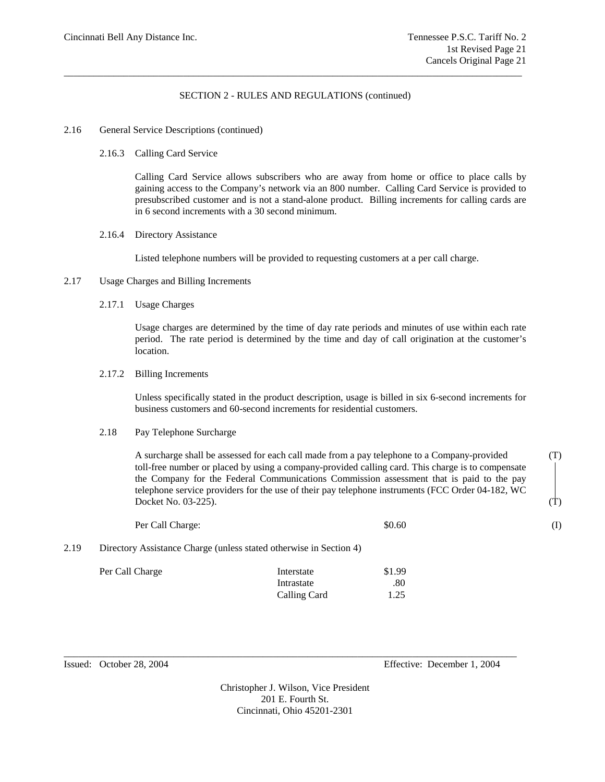\_\_\_\_\_\_\_\_\_\_\_\_\_\_\_\_\_\_\_\_\_\_\_\_\_\_\_\_\_\_\_\_\_\_\_\_\_\_\_\_\_\_\_\_\_\_\_\_\_\_\_\_\_\_\_\_\_\_\_\_\_\_\_\_\_\_\_\_\_\_\_\_\_\_\_\_\_\_\_\_\_\_\_\_\_\_\_\_\_\_\_\_

### 2.16 General Service Descriptions (continued)

2.16.3 Calling Card Service

Calling Card Service allows subscribers who are away from home or office to place calls by gaining access to the Company's network via an 800 number. Calling Card Service is provided to presubscribed customer and is not a stand-alone product. Billing increments for calling cards are in 6 second increments with a 30 second minimum.

2.16.4 Directory Assistance

Listed telephone numbers will be provided to requesting customers at a per call charge.

- 2.17 Usage Charges and Billing Increments
	- 2.17.1 Usage Charges

Usage charges are determined by the time of day rate periods and minutes of use within each rate period. The rate period is determined by the time and day of call origination at the customer's location.

#### 2.17.2 Billing Increments

Unless specifically stated in the product description, usage is billed in six 6-second increments for business customers and 60-second increments for residential customers.

#### 2.18 Pay Telephone Surcharge

A surcharge shall be assessed for each call made from a pay telephone to a Company-provided (T) toll-free number or placed by using a company-provided calling card. This charge is to compensate the Company for the Federal Communications Commission assessment that is paid to the pay telephone service providers for the use of their pay telephone instruments (FCC Order 04-182, WC Docket No.  $03-225$ ). (T)

|      | Per Call Charge:                                                   | \$0.60 |  |
|------|--------------------------------------------------------------------|--------|--|
| 2.19 | Directory Assistance Charge (unless stated otherwise in Section 4) |        |  |

| Per Call Charge | Interstate   | \$1.99 |
|-----------------|--------------|--------|
|                 | Intrastate   | .80    |
|                 | Calling Card | 1.25   |

Issued: October 28, 2004 Effective: December 1, 2004

Christopher J. Wilson, Vice President 201 E. Fourth St. Cincinnati, Ohio 45201-2301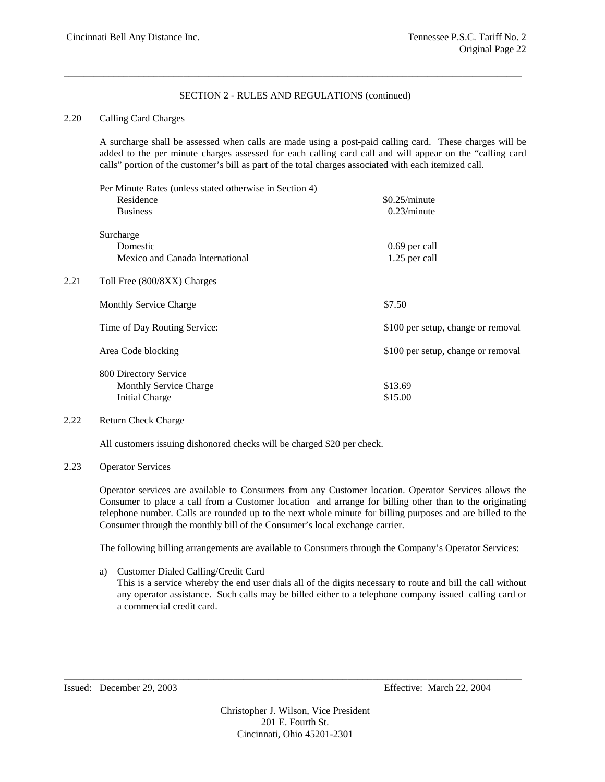\_\_\_\_\_\_\_\_\_\_\_\_\_\_\_\_\_\_\_\_\_\_\_\_\_\_\_\_\_\_\_\_\_\_\_\_\_\_\_\_\_\_\_\_\_\_\_\_\_\_\_\_\_\_\_\_\_\_\_\_\_\_\_\_\_\_\_\_\_\_\_\_\_\_\_\_\_\_\_\_\_\_\_\_\_\_\_\_\_\_\_\_

# 2.20 Calling Card Charges

A surcharge shall be assessed when calls are made using a post-paid calling card. These charges will be added to the per minute charges assessed for each calling card call and will appear on the "calling card calls" portion of the customer's bill as part of the total charges associated with each itemized call.

|      | Per Minute Rates (unless stated otherwise in Section 4)                         |                                    |
|------|---------------------------------------------------------------------------------|------------------------------------|
|      | Residence                                                                       | \$0.25/minute                      |
|      | <b>Business</b>                                                                 | 0.23/minute                        |
|      | Surcharge                                                                       |                                    |
|      | Domestic                                                                        | 0.69 per call                      |
|      | Mexico and Canada International                                                 | 1.25 per call                      |
| 2.21 | Toll Free (800/8XX) Charges                                                     |                                    |
|      | <b>Monthly Service Charge</b>                                                   | \$7.50                             |
|      | Time of Day Routing Service:                                                    | \$100 per setup, change or removal |
|      | Area Code blocking                                                              | \$100 per setup, change or removal |
|      | 800 Directory Service<br><b>Monthly Service Charge</b><br><b>Initial Charge</b> | \$13.69<br>\$15.00                 |
|      |                                                                                 |                                    |

# 2.22 Return Check Charge

All customers issuing dishonored checks will be charged \$20 per check.

# 2.23 Operator Services

Operator services are available to Consumers from any Customer location. Operator Services allows the Consumer to place a call from a Customer location and arrange for billing other than to the originating telephone number. Calls are rounded up to the next whole minute for billing purposes and are billed to the Consumer through the monthly bill of the Consumer's local exchange carrier.

The following billing arrangements are available to Consumers through the Company's Operator Services:

a) Customer Dialed Calling/Credit Card

This is a service whereby the end user dials all of the digits necessary to route and bill the call without any operator assistance. Such calls may be billed either to a telephone company issued calling card or a commercial credit card.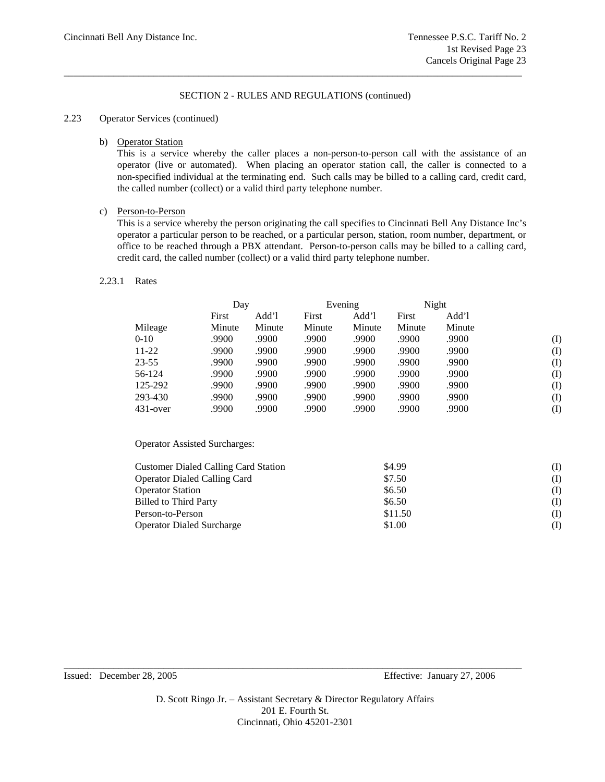\_\_\_\_\_\_\_\_\_\_\_\_\_\_\_\_\_\_\_\_\_\_\_\_\_\_\_\_\_\_\_\_\_\_\_\_\_\_\_\_\_\_\_\_\_\_\_\_\_\_\_\_\_\_\_\_\_\_\_\_\_\_\_\_\_\_\_\_\_\_\_\_\_\_\_\_\_\_\_\_\_\_\_\_\_\_\_\_\_\_\_\_

# 2.23 Operator Services (continued)

### b) Operator Station

This is a service whereby the caller places a non-person-to-person call with the assistance of an operator (live or automated). When placing an operator station call, the caller is connected to a non-specified individual at the terminating end. Such calls may be billed to a calling card, credit card, the called number (collect) or a valid third party telephone number.

# c) Person-to-Person

This is a service whereby the person originating the call specifies to Cincinnati Bell Any Distance Inc's operator a particular person to be reached, or a particular person, station, room number, department, or office to be reached through a PBX attendant. Person-to-person calls may be billed to a calling card, credit card, the called number (collect) or a valid third party telephone number.

### 2.23.1 Rates

|             | Day    |        |        | Evening |        | Night  |     |
|-------------|--------|--------|--------|---------|--------|--------|-----|
|             | First  | Add'l  | First  | Add'l   | First  | Add'l  |     |
| Mileage     | Minute | Minute | Minute | Minute  | Minute | Minute |     |
| $0 - 10$    | .9900  | .9900  | .9900  | .9900   | .9900  | .9900  | (I) |
| $11-22$     | .9900  | .9900  | .9900  | .9900   | .9900  | .9900  | (I) |
| $23 - 55$   | .9900  | .9900  | .9900  | .9900   | .9900  | .9900  | (I) |
| 56-124      | .9900  | .9900  | .9900  | .9900   | .9900  | .9900  | (I) |
| 125-292     | .9900  | .9900  | .9900  | .9900   | .9900  | .9900  | (I) |
| 293-430     | .9900  | .9900  | .9900  | .9900   | .9900  | .9900  | (I) |
| $431$ -over | .9900  | .9900  | .9900  | .9900   | .9900  | .9900  | (I) |

Operator Assisted Surcharges:

| <b>Customer Dialed Calling Card Station</b> | \$4.99<br>(I)  |  |
|---------------------------------------------|----------------|--|
| <b>Operator Dialed Calling Card</b>         | \$7.50<br>(I)  |  |
| <b>Operator Station</b>                     | \$6.50<br>(I)  |  |
| <b>Billed to Third Party</b>                | \$6.50<br>(I)  |  |
| Person-to-Person                            | \$11.50<br>(I) |  |
| <b>Operator Dialed Surcharge</b>            | \$1.00<br>(I)  |  |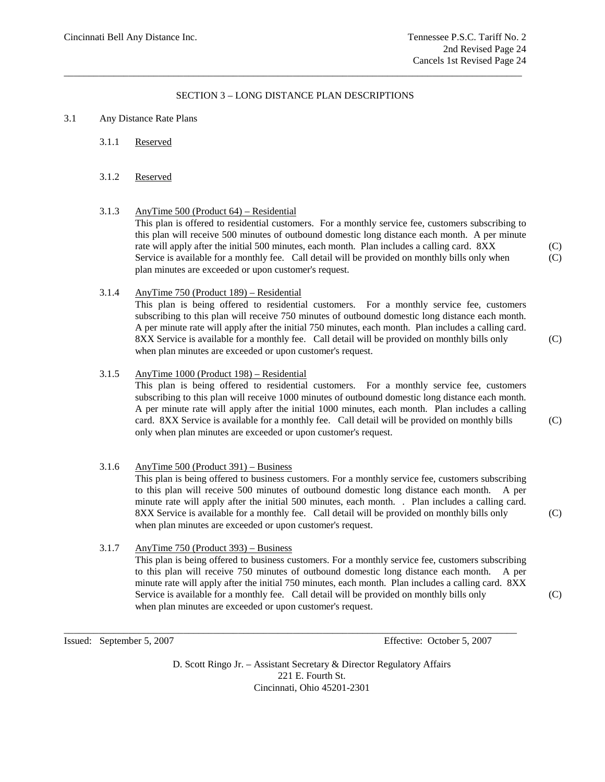## SECTION 3 – LONG DISTANCE PLAN DESCRIPTIONS

\_\_\_\_\_\_\_\_\_\_\_\_\_\_\_\_\_\_\_\_\_\_\_\_\_\_\_\_\_\_\_\_\_\_\_\_\_\_\_\_\_\_\_\_\_\_\_\_\_\_\_\_\_\_\_\_\_\_\_\_\_\_\_\_\_\_\_\_\_\_\_\_\_\_\_\_\_\_\_\_\_\_\_\_\_\_\_\_\_\_\_\_

### 3.1 Any Distance Rate Plans

3.1.1 Reserved

### 3.1.2 Reserved

3.1.3 AnyTime 500 (Product 64) – Residential This plan is offered to residential customers. For a monthly service fee, customers subscribing to this plan will receive 500 minutes of outbound domestic long distance each month. A per minute rate will apply after the initial 500 minutes, each month. Plan includes a calling card. 8XX (C) Service is available for a monthly fee. Call detail will be provided on monthly bills only when  $(C)$ plan minutes are exceeded or upon customer's request.

### 3.1.4 AnyTime 750 (Product 189) – Residential

This plan is being offered to residential customers. For a monthly service fee, customers subscribing to this plan will receive 750 minutes of outbound domestic long distance each month. A per minute rate will apply after the initial 750 minutes, each month. Plan includes a calling card. 8XX Service is available for a monthly fee. Call detail will be provided on monthly bills only (C) when plan minutes are exceeded or upon customer's request.

3.1.5 AnyTime 1000 (Product 198) – Residential This plan is being offered to residential customers. For a monthly service fee, customers subscribing to this plan will receive 1000 minutes of outbound domestic long distance each month. A per minute rate will apply after the initial 1000 minutes, each month. Plan includes a calling card. 8XX Service is available for a monthly fee. Call detail will be provided on monthly bills (C) only when plan minutes are exceeded or upon customer's request.

# 3.1.6 AnyTime  $500$  (Product  $391$ ) – Business

This plan is being offered to business customers. For a monthly service fee, customers subscribing to this plan will receive 500 minutes of outbound domestic long distance each month. A per minute rate will apply after the initial 500 minutes, each month. . Plan includes a calling card. 8XX Service is available for a monthly fee. Call detail will be provided on monthly bills only (C) when plan minutes are exceeded or upon customer's request.

3.1.7 AnyTime 750 (Product 393) – Business

This plan is being offered to business customers. For a monthly service fee, customers subscribing to this plan will receive 750 minutes of outbound domestic long distance each month. A per minute rate will apply after the initial 750 minutes, each month. Plan includes a calling card. 8XX Service is available for a monthly fee. Call detail will be provided on monthly bills only (C) when plan minutes are exceeded or upon customer's request.

Issued: September 5, 2007 Effective: October 5, 2007

D. Scott Ringo Jr. – Assistant Secretary & Director Regulatory Affairs 221 E. Fourth St. Cincinnati, Ohio 45201-2301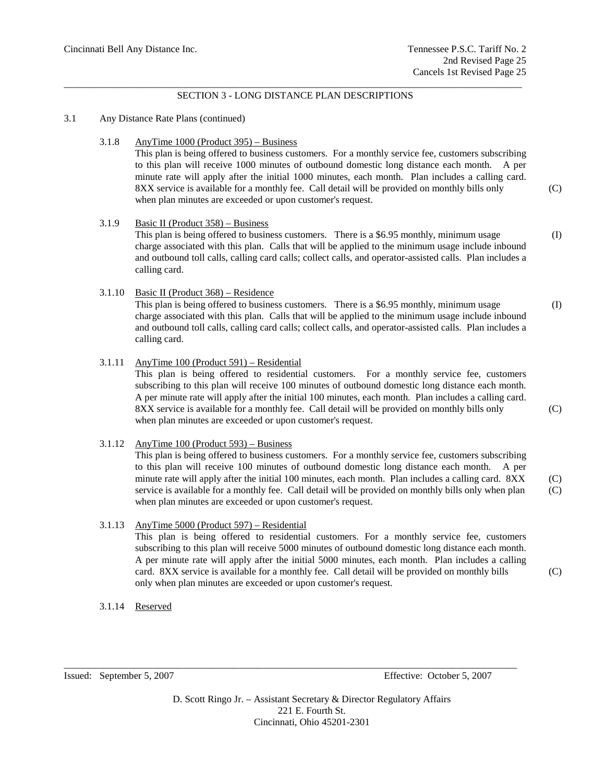### \_\_\_\_\_\_\_\_\_\_\_\_\_\_\_\_\_\_\_\_\_\_\_\_\_\_\_\_\_\_\_\_\_\_\_\_\_\_\_\_\_\_\_\_\_\_\_\_\_\_\_\_\_\_\_\_\_\_\_\_\_\_\_\_\_\_\_\_\_\_\_\_\_\_\_\_\_\_\_\_\_\_\_\_\_\_\_\_\_\_\_\_ SECTION 3 - LONG DISTANCE PLAN DESCRIPTIONS

### 3.1 Any Distance Rate Plans (continued)

### 3.1.8 AnyTime 1000 (Product 395) – Business

This plan is being offered to business customers. For a monthly service fee, customers subscribing to this plan will receive 1000 minutes of outbound domestic long distance each month. A per minute rate will apply after the initial 1000 minutes, each month. Plan includes a calling card. 8XX service is available for a monthly fee. Call detail will be provided on monthly bills only (C) when plan minutes are exceeded or upon customer's request.

#### 3.1.9 Basic II (Product 358) – Business

This plan is being offered to business customers. There is a \$6.95 monthly, minimum usage (I) charge associated with this plan. Calls that will be applied to the minimum usage include inbound and outbound toll calls, calling card calls; collect calls, and operator-assisted calls. Plan includes a calling card.

# 3.1.10 Basic II (Product 368) – Residence

This plan is being offered to business customers. There is a \$6.95 monthly, minimum usage (I) charge associated with this plan. Calls that will be applied to the minimum usage include inbound and outbound toll calls, calling card calls; collect calls, and operator-assisted calls. Plan includes a calling card.

#### 3.1.11 AnyTime 100 (Product 591) – Residential

This plan is being offered to residential customers. For a monthly service fee, customers subscribing to this plan will receive 100 minutes of outbound domestic long distance each month. A per minute rate will apply after the initial 100 minutes, each month. Plan includes a calling card. 8XX service is available for a monthly fee. Call detail will be provided on monthly bills only (C) when plan minutes are exceeded or upon customer's request.

#### 3.1.12 AnyTime 100 (Product 593) – Business

This plan is being offered to business customers. For a monthly service fee, customers subscribing to this plan will receive 100 minutes of outbound domestic long distance each month. A per minute rate will apply after the initial 100 minutes, each month. Plan includes a calling card. 8XX (C) service is available for a monthly fee. Call detail will be provided on monthly bills only when plan (C) when plan minutes are exceeded or upon customer's request.

#### 3.1.13 AnyTime 5000 (Product 597) – Residential

This plan is being offered to residential customers. For a monthly service fee, customers subscribing to this plan will receive 5000 minutes of outbound domestic long distance each month. A per minute rate will apply after the initial 5000 minutes, each month. Plan includes a calling card. 8XX service is available for a monthly fee. Call detail will be provided on monthly bills (C) only when plan minutes are exceeded or upon customer's request.

3.1.14 Reserved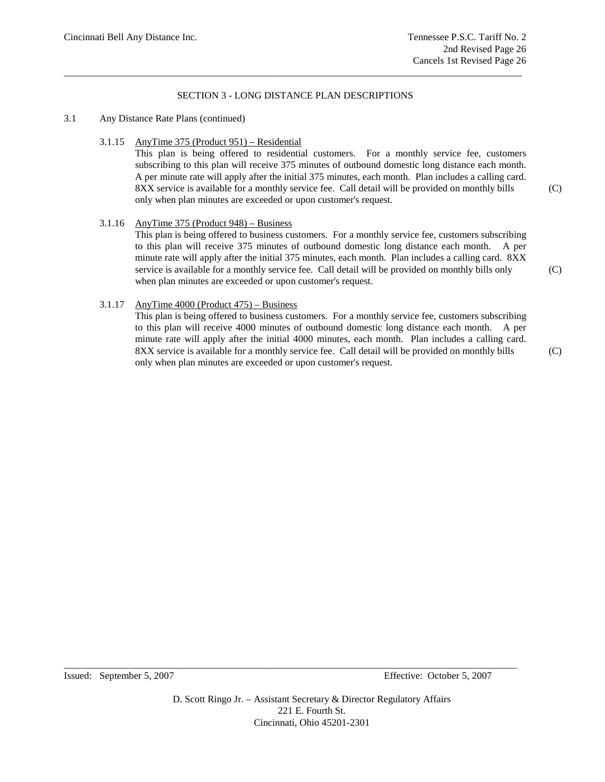### SECTION 3 - LONG DISTANCE PLAN DESCRIPTIONS

\_\_\_\_\_\_\_\_\_\_\_\_\_\_\_\_\_\_\_\_\_\_\_\_\_\_\_\_\_\_\_\_\_\_\_\_\_\_\_\_\_\_\_\_\_\_\_\_\_\_\_\_\_\_\_\_\_\_\_\_\_\_\_\_\_\_\_\_\_\_\_\_\_\_\_\_\_\_\_\_\_\_\_\_\_\_\_\_\_\_\_\_

### 3.1 Any Distance Rate Plans (continued)

3.1.15 AnyTime 375 (Product 951) – Residential

This plan is being offered to residential customers. For a monthly service fee, customers subscribing to this plan will receive 375 minutes of outbound domestic long distance each month. A per minute rate will apply after the initial 375 minutes, each month. Plan includes a calling card. 8XX service is available for a monthly service fee. Call detail will be provided on monthly bills (C) only when plan minutes are exceeded or upon customer's request.

### 3.1.16 AnyTime  $375$  (Product  $948$ ) – Business

This plan is being offered to business customers. For a monthly service fee, customers subscribing to this plan will receive 375 minutes of outbound domestic long distance each month. A per minute rate will apply after the initial 375 minutes, each month. Plan includes a calling card. 8XX service is available for a monthly service fee. Call detail will be provided on monthly bills only (C) when plan minutes are exceeded or upon customer's request.

# 3.1.17 AnyTime 4000 (Product 475) – Business

This plan is being offered to business customers. For a monthly service fee, customers subscribing to this plan will receive 4000 minutes of outbound domestic long distance each month. A per minute rate will apply after the initial 4000 minutes, each month. Plan includes a calling card. 8XX service is available for a monthly service fee. Call detail will be provided on monthly bills (C) only when plan minutes are exceeded or upon customer's request.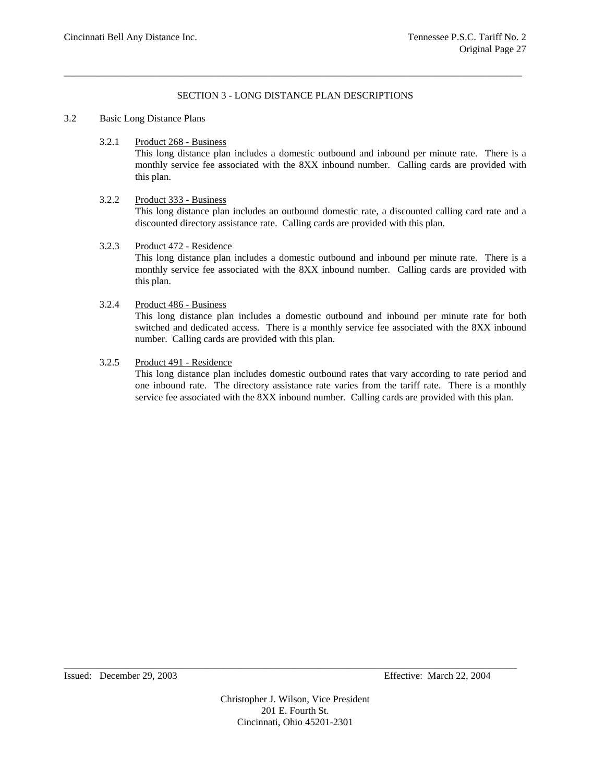# SECTION 3 - LONG DISTANCE PLAN DESCRIPTIONS

\_\_\_\_\_\_\_\_\_\_\_\_\_\_\_\_\_\_\_\_\_\_\_\_\_\_\_\_\_\_\_\_\_\_\_\_\_\_\_\_\_\_\_\_\_\_\_\_\_\_\_\_\_\_\_\_\_\_\_\_\_\_\_\_\_\_\_\_\_\_\_\_\_\_\_\_\_\_\_\_\_\_\_\_\_\_\_\_\_\_\_\_

### 3.2 Basic Long Distance Plans

3.2.1 Product 268 - Business

This long distance plan includes a domestic outbound and inbound per minute rate. There is a monthly service fee associated with the 8XX inbound number. Calling cards are provided with this plan.

# 3.2.2 Product 333 - Business

This long distance plan includes an outbound domestic rate, a discounted calling card rate and a discounted directory assistance rate. Calling cards are provided with this plan.

3.2.3 Product 472 - Residence

This long distance plan includes a domestic outbound and inbound per minute rate. There is a monthly service fee associated with the 8XX inbound number. Calling cards are provided with this plan.

## 3.2.4 Product 486 - Business

This long distance plan includes a domestic outbound and inbound per minute rate for both switched and dedicated access. There is a monthly service fee associated with the 8XX inbound number. Calling cards are provided with this plan.

### 3.2.5 Product 491 - Residence

This long distance plan includes domestic outbound rates that vary according to rate period and one inbound rate. The directory assistance rate varies from the tariff rate. There is a monthly service fee associated with the 8XX inbound number. Calling cards are provided with this plan.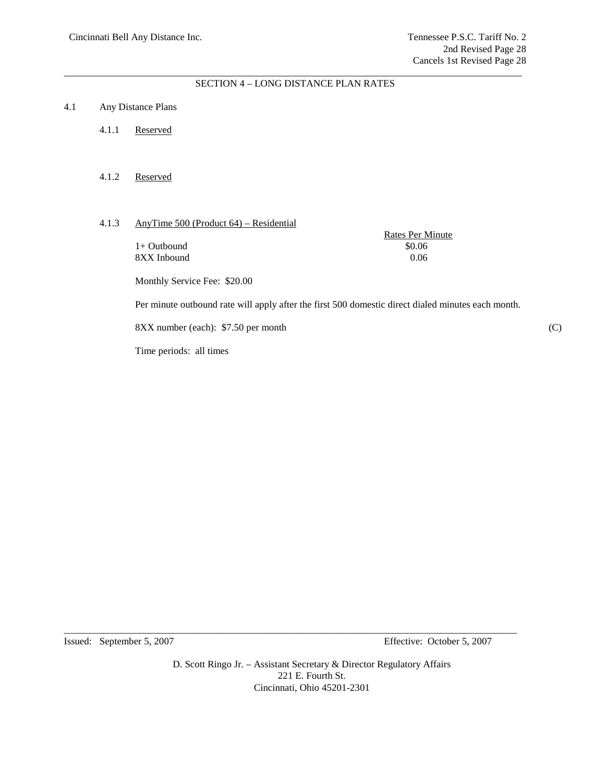#### \_\_\_\_\_\_\_\_\_\_\_\_\_\_\_\_\_\_\_\_\_\_\_\_\_\_\_\_\_\_\_\_\_\_\_\_\_\_\_\_\_\_\_\_\_\_\_\_\_\_\_\_\_\_\_\_\_\_\_\_\_\_\_\_\_\_\_\_\_\_\_\_\_\_\_\_\_\_\_\_\_\_\_\_\_\_\_\_\_\_\_\_ SECTION 4 – LONG DISTANCE PLAN RATES

### 4.1 Any Distance Plans

- 4.1.1 Reserved
- 4.1.2 Reserved

# 4.1.3 AnyTime 500 (Product 64) – Residential

 $1+$  Outbound  $$0.06$ 8XX Inbound 0.06

Rates Per Minute

Monthly Service Fee: \$20.00

Per minute outbound rate will apply after the first 500 domestic direct dialed minutes each month.

8XX number (each): \$7.50 per month (C)

Time periods: all times

Issued: September 5, 2007 Effective: October 5, 2007

D. Scott Ringo Jr. – Assistant Secretary & Director Regulatory Affairs 221 E. Fourth St. Cincinnati, Ohio 45201-2301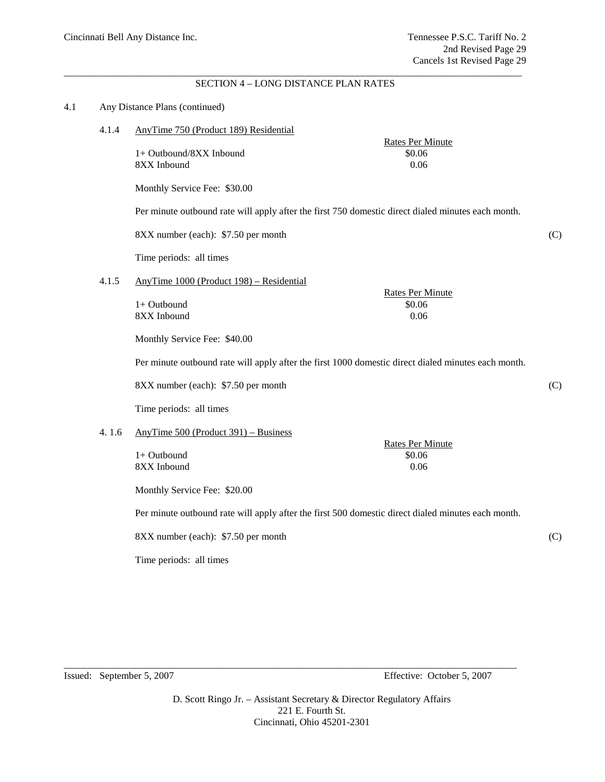Rates Per Minute

#### \_\_\_\_\_\_\_\_\_\_\_\_\_\_\_\_\_\_\_\_\_\_\_\_\_\_\_\_\_\_\_\_\_\_\_\_\_\_\_\_\_\_\_\_\_\_\_\_\_\_\_\_\_\_\_\_\_\_\_\_\_\_\_\_\_\_\_\_\_\_\_\_\_\_\_\_\_\_\_\_\_\_\_\_\_\_\_\_\_\_\_\_ SECTION 4 – LONG DISTANCE PLAN RATES

#### 4.1 Any Distance Plans (continued)

4.1.4 AnyTime 750 (Product 189) Residential

1+ Outbound/8XX Inbound  $$0.06$ 8XX Inbound 0.06

Monthly Service Fee: \$30.00

Per minute outbound rate will apply after the first 750 domestic direct dialed minutes each month.

8XX number (each): \$7.50 per month (C)

Time periods: all times

4.1.5 AnyTime 1000 (Product 198) – Residential

|             | <b>Rates Per Minute</b> |
|-------------|-------------------------|
| 1+ Outbound | \$0.06                  |
| 8XX Inbound | 0.06                    |

Monthly Service Fee: \$40.00

Per minute outbound rate will apply after the first 1000 domestic direct dialed minutes each month.

8XX number (each): \$7.50 per month (C)

Time periods: all times

#### 4. 1.6 AnyTime 500 (Product 391) – Business

8XX Inbound 0.06

Rates Per Minute  $1+$  Outbound  $$0.06$ 

Monthly Service Fee: \$20.00

Per minute outbound rate will apply after the first 500 domestic direct dialed minutes each month.

8XX number (each): \$7.50 per month (C)

Time periods: all times

Issued: September 5, 2007 Effective: October 5, 2007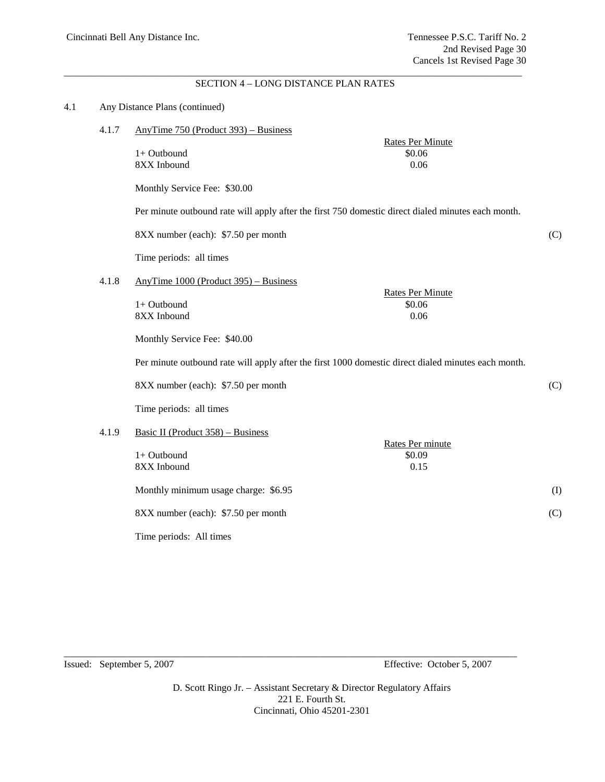Rates Per Minute

#### \_\_\_\_\_\_\_\_\_\_\_\_\_\_\_\_\_\_\_\_\_\_\_\_\_\_\_\_\_\_\_\_\_\_\_\_\_\_\_\_\_\_\_\_\_\_\_\_\_\_\_\_\_\_\_\_\_\_\_\_\_\_\_\_\_\_\_\_\_\_\_\_\_\_\_\_\_\_\_\_\_\_\_\_\_\_\_\_\_\_\_\_ SECTION 4 – LONG DISTANCE PLAN RATES

#### 4.1 Any Distance Plans (continued)

|  | 4.1.7 | AnyTime $750$ (Product $393$ ) – Business |  |  |
|--|-------|-------------------------------------------|--|--|
|--|-------|-------------------------------------------|--|--|

 $1+$  Outbound  $$0.06$ 8XX Inbound 0.06

Monthly Service Fee: \$30.00

Per minute outbound rate will apply after the first 750 domestic direct dialed minutes each month.

8XX number (each): \$7.50 per month (C)

Time periods: all times

4.1.8 AnyTime 1000 (Product 395) – Business

|             | <b>Rates Per Minute</b> |
|-------------|-------------------------|
| 1+ Outbound | \$0.06                  |
| 8XX Inbound | 0.06                    |

Monthly Service Fee: \$40.00

Per minute outbound rate will apply after the first 1000 domestic direct dialed minutes each month.

8XX number (each): \$7.50 per month (C)

Time periods: all times

#### 4.1.9 Basic II (Product 358) – Business

|                                      | Rates Per minute |           |
|--------------------------------------|------------------|-----------|
| $1+$ Outbound                        | \$0.09           |           |
| 8XX Inbound                          | 0.15             |           |
| Monthly minimum usage charge: \$6.95 |                  | $\rm (I)$ |
| 8XX number (each): \$7.50 per month  |                  | (C)       |
| Time periods: All times              |                  |           |

Issued: September 5, 2007 Effective: October 5, 2007

D. Scott Ringo Jr. – Assistant Secretary & Director Regulatory Affairs 221 E. Fourth St. Cincinnati, Ohio 45201-2301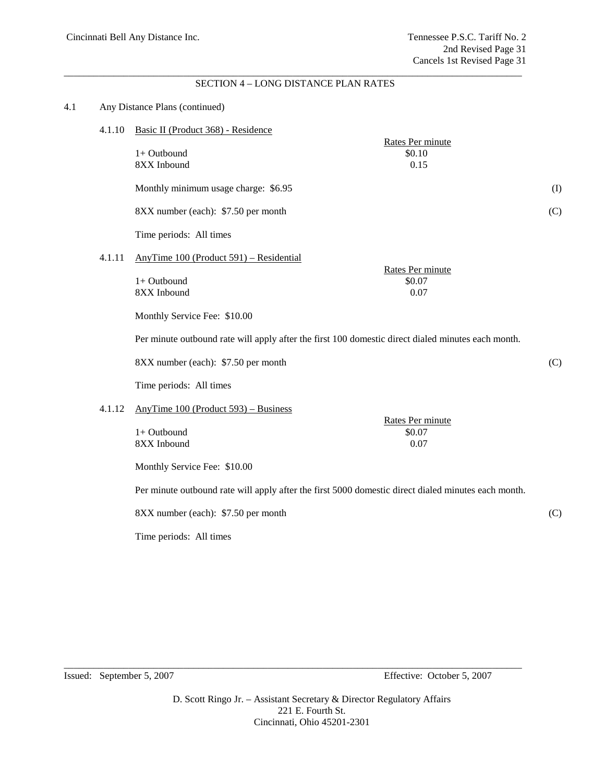#### \_\_\_\_\_\_\_\_\_\_\_\_\_\_\_\_\_\_\_\_\_\_\_\_\_\_\_\_\_\_\_\_\_\_\_\_\_\_\_\_\_\_\_\_\_\_\_\_\_\_\_\_\_\_\_\_\_\_\_\_\_\_\_\_\_\_\_\_\_\_\_\_\_\_\_\_\_\_\_\_\_\_\_\_\_\_\_\_\_\_\_\_ SECTION 4 – LONG DISTANCE PLAN RATES

| 4.1.10 | Basic II (Product 368) - Residence                                                                  |                                                                                            |
|--------|-----------------------------------------------------------------------------------------------------|--------------------------------------------------------------------------------------------|
|        | 1+ Outbound<br>\$0.10<br>8XX Inbound<br>0.15                                                        |                                                                                            |
|        | Monthly minimum usage charge: \$6.95                                                                | (I)                                                                                        |
|        | 8XX number (each): \$7.50 per month                                                                 | (C)                                                                                        |
|        | Time periods: All times                                                                             |                                                                                            |
| 4.1.11 | AnyTime 100 (Product 591) – Residential                                                             |                                                                                            |
|        | 1+ Outbound<br>\$0.07<br>8XX Inbound<br>0.07                                                        |                                                                                            |
|        | Monthly Service Fee: \$10.00                                                                        |                                                                                            |
|        | Per minute outbound rate will apply after the first 100 domestic direct dialed minutes each month.  |                                                                                            |
|        | 8XX number (each): \$7.50 per month                                                                 | (C)                                                                                        |
|        | Time periods: All times                                                                             |                                                                                            |
| 4.1.12 | AnyTime $100$ (Product 593) – Business                                                              |                                                                                            |
|        | 1+ Outbound<br>\$0.07<br>8XX Inbound<br>0.07                                                        |                                                                                            |
|        | Monthly Service Fee: \$10.00                                                                        |                                                                                            |
|        | Per minute outbound rate will apply after the first 5000 domestic direct dialed minutes each month. |                                                                                            |
|        | 8XX number (each): \$7.50 per month                                                                 | (C)                                                                                        |
|        | Time periods: All times                                                                             |                                                                                            |
|        |                                                                                                     | Any Distance Plans (continued)<br>Rates Per minute<br>Rates Per minute<br>Rates Per minute |

Issued: September 5, 2007 Effective: October 5, 2007

D. Scott Ringo Jr. – Assistant Secretary & Director Regulatory Affairs 221 E. Fourth St. Cincinnati, Ohio 45201-2301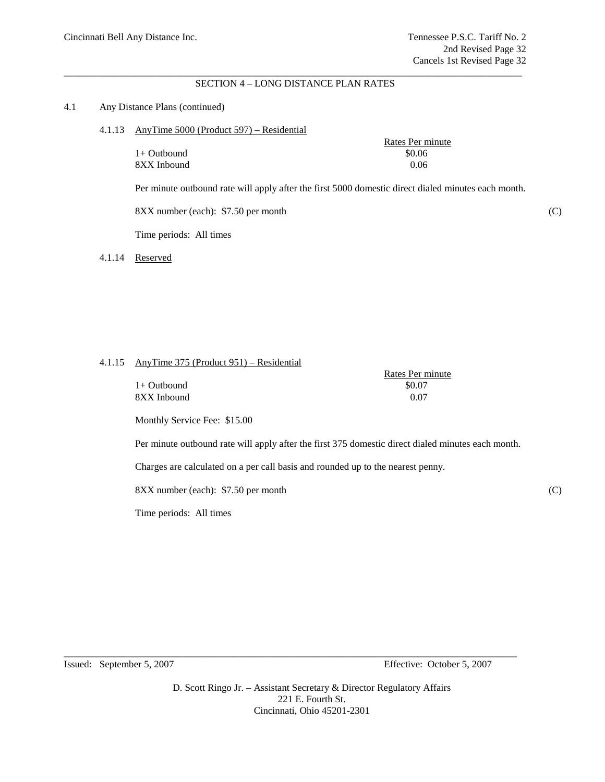#### \_\_\_\_\_\_\_\_\_\_\_\_\_\_\_\_\_\_\_\_\_\_\_\_\_\_\_\_\_\_\_\_\_\_\_\_\_\_\_\_\_\_\_\_\_\_\_\_\_\_\_\_\_\_\_\_\_\_\_\_\_\_\_\_\_\_\_\_\_\_\_\_\_\_\_\_\_\_\_\_\_\_\_\_\_\_\_\_\_\_\_\_ SECTION 4 – LONG DISTANCE PLAN RATES

#### 4.1 Any Distance Plans (continued)

4.1.13 AnyTime 5000 (Product 597) – Residential

|             | Rates Per r |
|-------------|-------------|
| 1+ Outbound | \$0.06      |
| 8XX Inbound | 0.06        |

Per minute outbound rate will apply after the first 5000 domestic direct dialed minutes each month.

8XX number (each): \$7.50 per month (C)

Time periods: All times

4.1.14 Reserved

### 4.1.15 AnyTime 375 (Product 951) – Residential

| $1+$ Outbound | \$0.07 |
|---------------|--------|
| 8XX Inbound   | 0.07   |

| Rates Per minute |
|------------------|
| \$0.07           |
| 0.07             |

Rates Per minute

Monthly Service Fee: \$15.00

Per minute outbound rate will apply after the first 375 domestic direct dialed minutes each month.

Charges are calculated on a per call basis and rounded up to the nearest penny.

8XX number (each): \$7.50 per month (C)

Time periods: All times

Issued: September 5, 2007 Effective: October 5, 2007

D. Scott Ringo Jr. – Assistant Secretary & Director Regulatory Affairs 221 E. Fourth St. Cincinnati, Ohio 45201-2301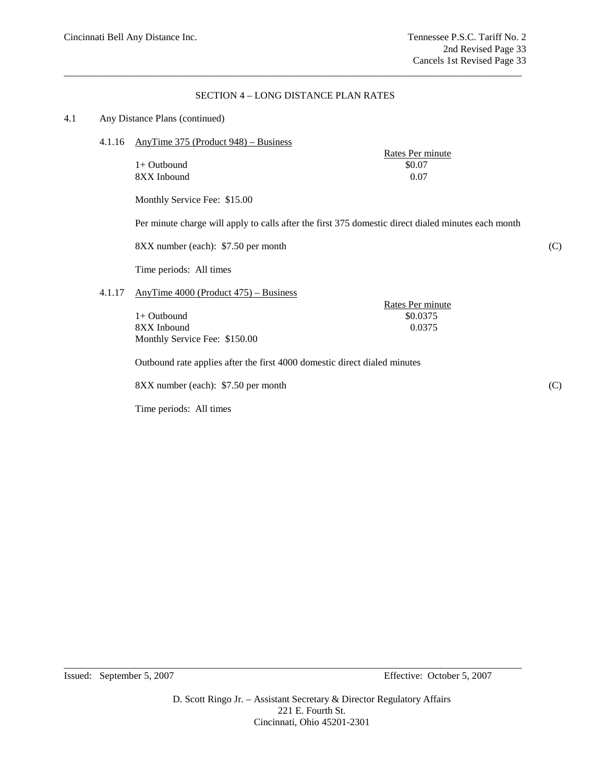## SECTION 4 – LONG DISTANCE PLAN RATES

\_\_\_\_\_\_\_\_\_\_\_\_\_\_\_\_\_\_\_\_\_\_\_\_\_\_\_\_\_\_\_\_\_\_\_\_\_\_\_\_\_\_\_\_\_\_\_\_\_\_\_\_\_\_\_\_\_\_\_\_\_\_\_\_\_\_\_\_\_\_\_\_\_\_\_\_\_\_\_\_\_\_\_\_\_\_\_\_\_\_\_\_

### 4.1 Any Distance Plans (continued)

4.1.16 AnyTime 375 (Product 948) – Business

| Rates Per minute |
|------------------|
| \$0.07           |
| 0.07             |
|                  |

Monthly Service Fee: \$15.00

Per minute charge will apply to calls after the first 375 domestic direct dialed minutes each month

8XX number (each): \$7.50 per month (C)

Time periods: All times

# 4.1.17 AnyTime 4000 (Product 475) – Business

1+ Outbound \$0.0375 8XX Inbound 0.0375 Monthly Service Fee: \$150.00

Outbound rate applies after the first 4000 domestic direct dialed minutes

8XX number (each): \$7.50 per month (C)

Time periods: All times

Rates Per minute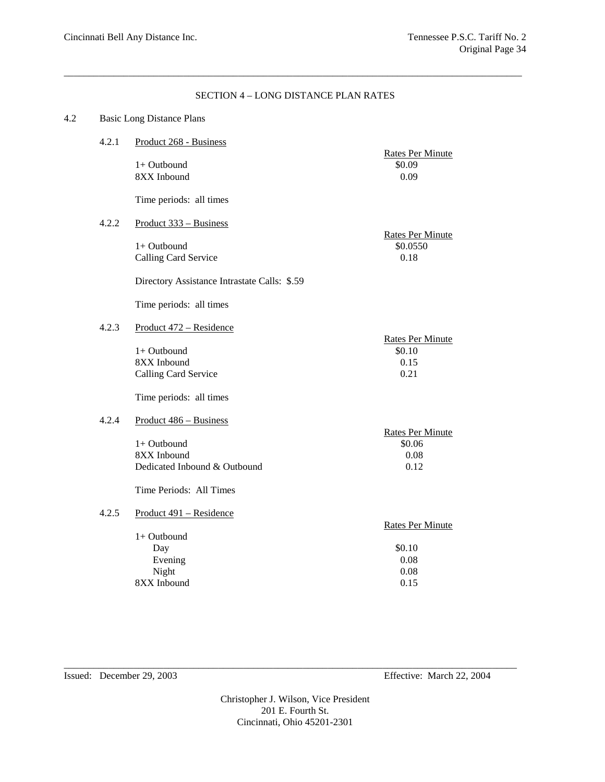# SECTION 4 – LONG DISTANCE PLAN RATES

\_\_\_\_\_\_\_\_\_\_\_\_\_\_\_\_\_\_\_\_\_\_\_\_\_\_\_\_\_\_\_\_\_\_\_\_\_\_\_\_\_\_\_\_\_\_\_\_\_\_\_\_\_\_\_\_\_\_\_\_\_\_\_\_\_\_\_\_\_\_\_\_\_\_\_\_\_\_\_\_\_\_\_\_\_\_\_\_\_\_\_\_

| 4.2 | <b>Basic Long Distance Plans</b> |                                                                                      |                                                   |
|-----|----------------------------------|--------------------------------------------------------------------------------------|---------------------------------------------------|
|     | 4.2.1                            | Product 268 - Business                                                               |                                                   |
|     |                                  | 1+ Outbound<br>8XX Inbound                                                           | <b>Rates Per Minute</b><br>\$0.09<br>0.09         |
|     |                                  | Time periods: all times                                                              |                                                   |
|     | 4.2.2                            | Product 333 - Business                                                               |                                                   |
|     |                                  | $1+$ Outbound<br>Calling Card Service                                                | <b>Rates Per Minute</b><br>\$0.0550<br>0.18       |
|     |                                  | Directory Assistance Intrastate Calls: \$.59                                         |                                                   |
|     |                                  | Time periods: all times                                                              |                                                   |
|     | 4.2.3                            | Product 472 - Residence                                                              |                                                   |
|     |                                  | $1+$ Outbound<br>8XX Inbound<br>Calling Card Service                                 | <b>Rates Per Minute</b><br>\$0.10<br>0.15<br>0.21 |
|     |                                  | Time periods: all times                                                              |                                                   |
|     | 4.2.4                            | Product 486 - Business<br>1+ Outbound<br>8XX Inbound<br>Dedicated Inbound & Outbound | <b>Rates Per Minute</b><br>\$0.06<br>0.08<br>0.12 |
|     |                                  | Time Periods: All Times                                                              |                                                   |
|     | 4.2.5                            | Product 491 - Residence<br>1+ Outbound                                               | <b>Rates Per Minute</b>                           |
|     |                                  | Day                                                                                  | \$0.10                                            |
|     |                                  | Evening                                                                              | 0.08                                              |
|     |                                  | Night                                                                                | 0.08                                              |
|     |                                  | 8XX Inbound                                                                          | 0.15                                              |

Issued: December 29, 2003 Effective: March 22, 2004

Christopher J. Wilson, Vice President 201 E. Fourth St. Cincinnati, Ohio 45201-2301